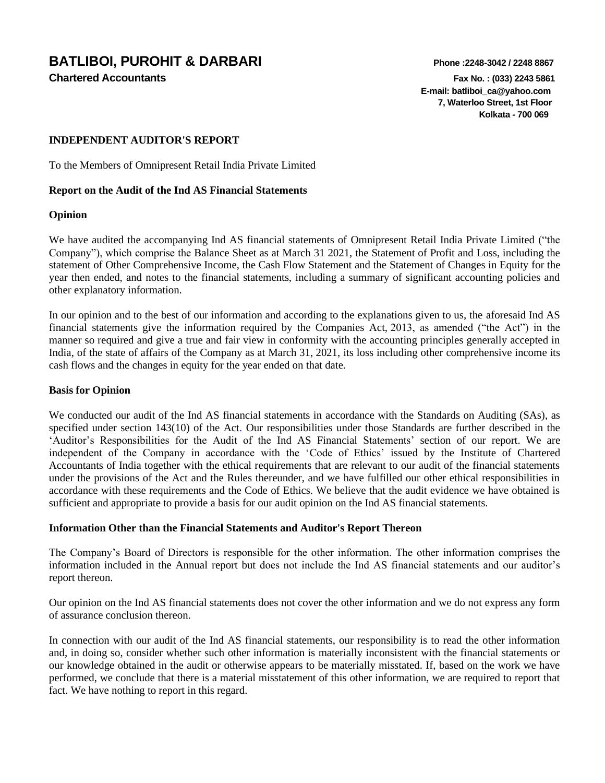# **BATLIBOI, PUROHIT & DARBARI Phone :2248-3042 / 2248 8867**

# **INDEPENDENT AUDITOR'S REPORT**

To the Members of Omnipresent Retail India Private Limited

# **Report on the Audit of the Ind AS Financial Statements**

# **Opinion**

We have audited the accompanying Ind AS financial statements of Omnipresent Retail India Private Limited ("the Company"), which comprise the Balance Sheet as at March 31 2021, the Statement of Profit and Loss, including the statement of Other Comprehensive Income, the Cash Flow Statement and the Statement of Changes in Equity for the year then ended, and notes to the financial statements, including a summary of significant accounting policies and other explanatory information.

In our opinion and to the best of our information and according to the explanations given to us, the aforesaid Ind AS financial statements give the information required by the Companies Act, 2013, as amended ("the Act") in the manner so required and give a true and fair view in conformity with the accounting principles generally accepted in India, of the state of affairs of the Company as at March 31, 2021, its loss including other comprehensive income its cash flows and the changes in equity for the year ended on that date.

# **Basis for Opinion**

We conducted our audit of the Ind AS financial statements in accordance with the Standards on Auditing (SAs), as specified under section 143(10) of the Act. Our responsibilities under those Standards are further described in the 'Auditor's Responsibilities for the Audit of the Ind AS Financial Statements' section of our report. We are independent of the Company in accordance with the 'Code of Ethics' issued by the Institute of Chartered Accountants of India together with the ethical requirements that are relevant to our audit of the financial statements under the provisions of the Act and the Rules thereunder, and we have fulfilled our other ethical responsibilities in accordance with these requirements and the Code of Ethics. We believe that the audit evidence we have obtained is sufficient and appropriate to provide a basis for our audit opinion on the Ind AS financial statements.

# **Information Other than the Financial Statements and Auditor's Report Thereon**

The Company's Board of Directors is responsible for the other information. The other information comprises the information included in the Annual report but does not include the Ind AS financial statements and our auditor's report thereon.

Our opinion on the Ind AS financial statements does not cover the other information and we do not express any form of assurance conclusion thereon.

In connection with our audit of the Ind AS financial statements, our responsibility is to read the other information and, in doing so, consider whether such other information is materially inconsistent with the financial statements or our knowledge obtained in the audit or otherwise appears to be materially misstated. If, based on the work we have performed, we conclude that there is a material misstatement of this other information, we are required to report that fact. We have nothing to report in this regard.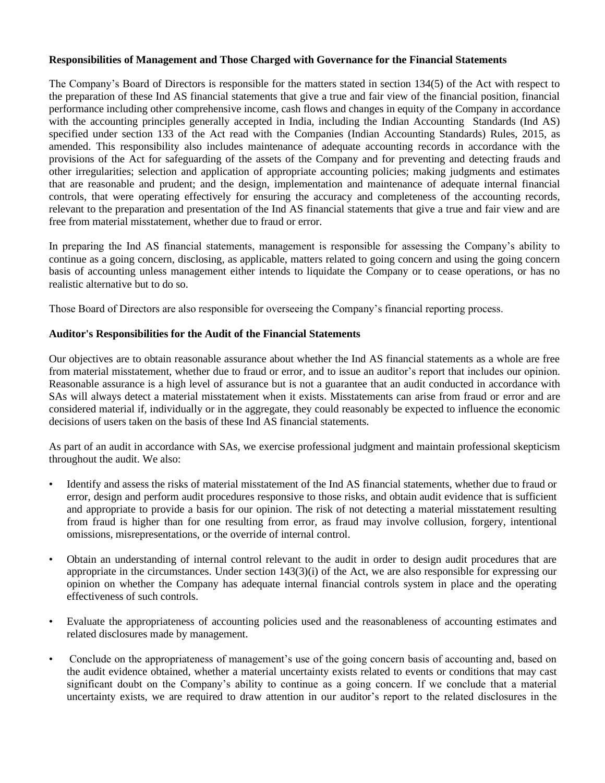# **Responsibilities of Management and Those Charged with Governance for the Financial Statements**

The Company's Board of Directors is responsible for the matters stated in section 134(5) of the Act with respect to the preparation of these Ind AS financial statements that give a true and fair view of the financial position, financial performance including other comprehensive income, cash flows and changes in equity of the Company in accordance with the accounting principles generally accepted in India, including the Indian Accounting Standards (Ind AS) specified under section 133 of the Act read with the Companies (Indian Accounting Standards) Rules, 2015, as amended. This responsibility also includes maintenance of adequate accounting records in accordance with the provisions of the Act for safeguarding of the assets of the Company and for preventing and detecting frauds and other irregularities; selection and application of appropriate accounting policies; making judgments and estimates that are reasonable and prudent; and the design, implementation and maintenance of adequate internal financial controls, that were operating effectively for ensuring the accuracy and completeness of the accounting records, relevant to the preparation and presentation of the Ind AS financial statements that give a true and fair view and are free from material misstatement, whether due to fraud or error.

In preparing the Ind AS financial statements, management is responsible for assessing the Company's ability to continue as a going concern, disclosing, as applicable, matters related to going concern and using the going concern basis of accounting unless management either intends to liquidate the Company or to cease operations, or has no realistic alternative but to do so.

Those Board of Directors are also responsible for overseeing the Company's financial reporting process.

# **Auditor's Responsibilities for the Audit of the Financial Statements**

Our objectives are to obtain reasonable assurance about whether the Ind AS financial statements as a whole are free from material misstatement, whether due to fraud or error, and to issue an auditor's report that includes our opinion. Reasonable assurance is a high level of assurance but is not a guarantee that an audit conducted in accordance with SAs will always detect a material misstatement when it exists. Misstatements can arise from fraud or error and are considered material if, individually or in the aggregate, they could reasonably be expected to influence the economic decisions of users taken on the basis of these Ind AS financial statements.

As part of an audit in accordance with SAs, we exercise professional judgment and maintain professional skepticism throughout the audit. We also:

- Identify and assess the risks of material misstatement of the Ind AS financial statements, whether due to fraud or error, design and perform audit procedures responsive to those risks, and obtain audit evidence that is sufficient and appropriate to provide a basis for our opinion. The risk of not detecting a material misstatement resulting from fraud is higher than for one resulting from error, as fraud may involve collusion, forgery, intentional omissions, misrepresentations, or the override of internal control.
- Obtain an understanding of internal control relevant to the audit in order to design audit procedures that are appropriate in the circumstances. Under section 143(3)(i) of the Act, we are also responsible for expressing our opinion on whether the Company has adequate internal financial controls system in place and the operating effectiveness of such controls.
- Evaluate the appropriateness of accounting policies used and the reasonableness of accounting estimates and related disclosures made by management.
- Conclude on the appropriateness of management's use of the going concern basis of accounting and, based on the audit evidence obtained, whether a material uncertainty exists related to events or conditions that may cast significant doubt on the Company's ability to continue as a going concern. If we conclude that a material uncertainty exists, we are required to draw attention in our auditor's report to the related disclosures in the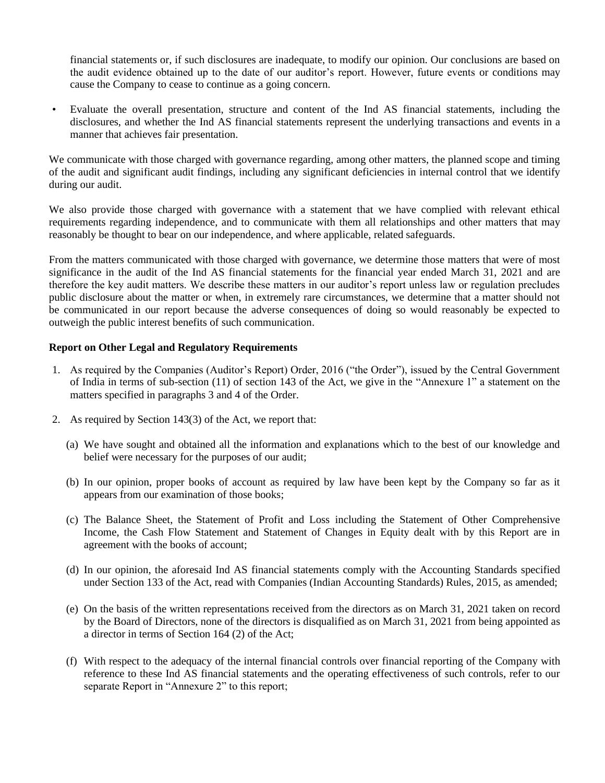financial statements or, if such disclosures are inadequate, to modify our opinion. Our conclusions are based on the audit evidence obtained up to the date of our auditor's report. However, future events or conditions may cause the Company to cease to continue as a going concern.

• Evaluate the overall presentation, structure and content of the Ind AS financial statements, including the disclosures, and whether the Ind AS financial statements represent the underlying transactions and events in a manner that achieves fair presentation.

We communicate with those charged with governance regarding, among other matters, the planned scope and timing of the audit and significant audit findings, including any significant deficiencies in internal control that we identify during our audit.

We also provide those charged with governance with a statement that we have complied with relevant ethical requirements regarding independence, and to communicate with them all relationships and other matters that may reasonably be thought to bear on our independence, and where applicable, related safeguards.

From the matters communicated with those charged with governance, we determine those matters that were of most significance in the audit of the Ind AS financial statements for the financial year ended March 31, 2021 and are therefore the key audit matters. We describe these matters in our auditor's report unless law or regulation precludes public disclosure about the matter or when, in extremely rare circumstances, we determine that a matter should not be communicated in our report because the adverse consequences of doing so would reasonably be expected to outweigh the public interest benefits of such communication.

# **Report on Other Legal and Regulatory Requirements**

- 1. As required by the Companies (Auditor's Report) Order, 2016 ("the Order"), issued by the Central Government of India in terms of sub-section (11) of section 143 of the Act, we give in the "Annexure 1" a statement on the matters specified in paragraphs 3 and 4 of the Order.
- 2. As required by Section 143(3) of the Act, we report that:
	- (a) We have sought and obtained all the information and explanations which to the best of our knowledge and belief were necessary for the purposes of our audit;
	- (b) In our opinion, proper books of account as required by law have been kept by the Company so far as it appears from our examination of those books;
	- (c) The Balance Sheet, the Statement of Profit and Loss including the Statement of Other Comprehensive Income, the Cash Flow Statement and Statement of Changes in Equity dealt with by this Report are in agreement with the books of account;
	- (d) In our opinion, the aforesaid Ind AS financial statements comply with the Accounting Standards specified under Section 133 of the Act, read with Companies (Indian Accounting Standards) Rules, 2015, as amended;
	- (e) On the basis of the written representations received from the directors as on March 31, 2021 taken on record by the Board of Directors, none of the directors is disqualified as on March 31, 2021 from being appointed as a director in terms of Section 164 (2) of the Act;
	- (f) With respect to the adequacy of the internal financial controls over financial reporting of the Company with reference to these Ind AS financial statements and the operating effectiveness of such controls, refer to our separate Report in "Annexure 2" to this report;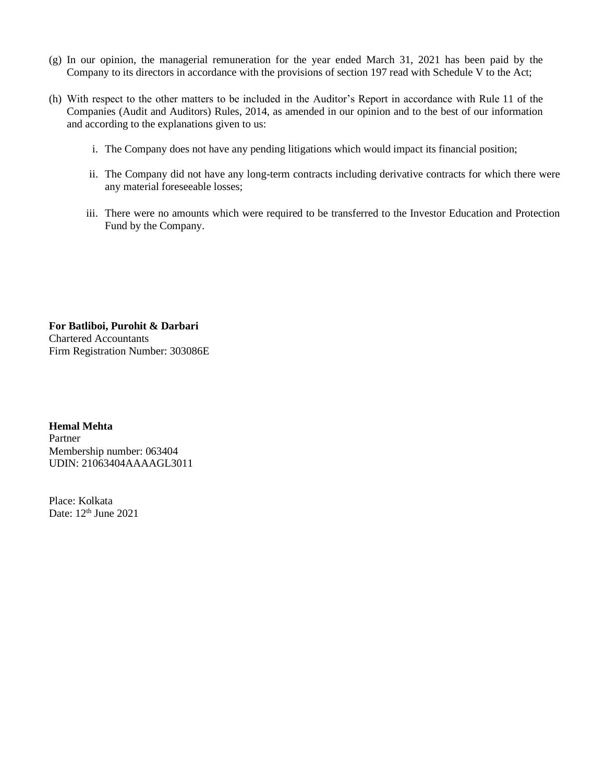- (g) In our opinion, the managerial remuneration for the year ended March 31, 2021 has been paid by the Company to its directors in accordance with the provisions of section 197 read with Schedule V to the Act;
- (h) With respect to the other matters to be included in the Auditor's Report in accordance with Rule 11 of the Companies (Audit and Auditors) Rules, 2014, as amended in our opinion and to the best of our information and according to the explanations given to us:
	- i. The Company does not have any pending litigations which would impact its financial position;
	- ii. The Company did not have any long-term contracts including derivative contracts for which there were any material foreseeable losses;
	- iii. There were no amounts which were required to be transferred to the Investor Education and Protection Fund by the Company.

**For Batliboi, Purohit & Darbari** Chartered Accountants Firm Registration Number: 303086E

**Hemal Mehta** Partner Membership number: 063404 UDIN: 21063404AAAAGL3011

Place: Kolkata Date: 12<sup>th</sup> June 2021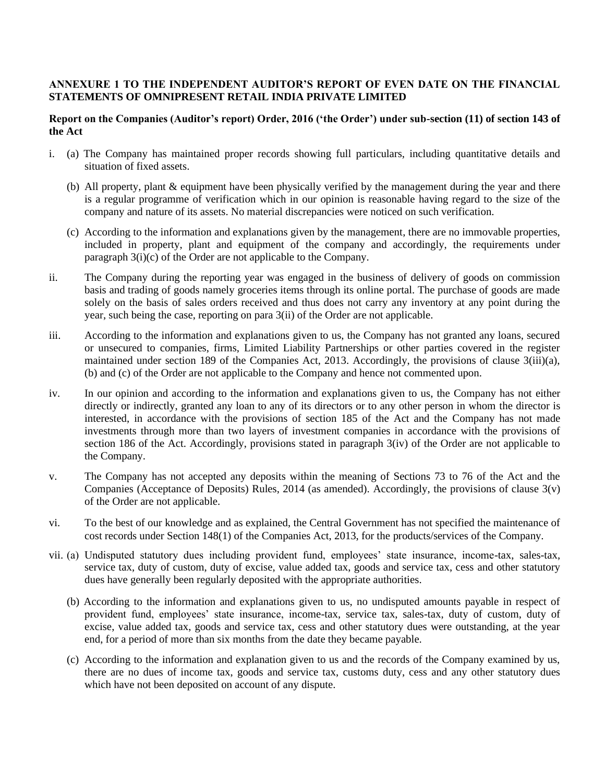# **ANNEXURE 1 TO THE INDEPENDENT AUDITOR'S REPORT OF EVEN DATE ON THE FINANCIAL STATEMENTS OF OMNIPRESENT RETAIL INDIA PRIVATE LIMITED**

# **Report on the Companies (Auditor's report) Order, 2016 ('the Order') under sub-section (11) of section 143 of the Act**

- i. (a) The Company has maintained proper records showing full particulars, including quantitative details and situation of fixed assets.
	- (b) All property, plant & equipment have been physically verified by the management during the year and there is a regular programme of verification which in our opinion is reasonable having regard to the size of the company and nature of its assets. No material discrepancies were noticed on such verification.
	- (c) According to the information and explanations given by the management, there are no immovable properties, included in property, plant and equipment of the company and accordingly, the requirements under paragraph 3(i)(c) of the Order are not applicable to the Company.
- ii. The Company during the reporting year was engaged in the business of delivery of goods on commission basis and trading of goods namely groceries items through its online portal. The purchase of goods are made solely on the basis of sales orders received and thus does not carry any inventory at any point during the year, such being the case, reporting on para 3(ii) of the Order are not applicable.
- iii. According to the information and explanations given to us, the Company has not granted any loans, secured or unsecured to companies, firms, Limited Liability Partnerships or other parties covered in the register maintained under section 189 of the Companies Act, 2013. Accordingly, the provisions of clause 3(iii)(a), (b) and (c) of the Order are not applicable to the Company and hence not commented upon.
- iv. In our opinion and according to the information and explanations given to us, the Company has not either directly or indirectly, granted any loan to any of its directors or to any other person in whom the director is interested, in accordance with the provisions of section 185 of the Act and the Company has not made investments through more than two layers of investment companies in accordance with the provisions of section 186 of the Act. Accordingly, provisions stated in paragraph 3(iv) of the Order are not applicable to the Company.
- v. The Company has not accepted any deposits within the meaning of Sections 73 to 76 of the Act and the Companies (Acceptance of Deposits) Rules, 2014 (as amended). Accordingly, the provisions of clause 3(v) of the Order are not applicable.
- vi. To the best of our knowledge and as explained, the Central Government has not specified the maintenance of cost records under Section 148(1) of the Companies Act, 2013, for the products/services of the Company.
- vii. (a) Undisputed statutory dues including provident fund, employees' state insurance, income-tax, sales-tax, service tax, duty of custom, duty of excise, value added tax, goods and service tax, cess and other statutory dues have generally been regularly deposited with the appropriate authorities.
	- (b) According to the information and explanations given to us, no undisputed amounts payable in respect of provident fund, employees' state insurance, income-tax, service tax, sales-tax, duty of custom, duty of excise, value added tax, goods and service tax, cess and other statutory dues were outstanding, at the year end, for a period of more than six months from the date they became payable.
	- (c) According to the information and explanation given to us and the records of the Company examined by us, there are no dues of income tax, goods and service tax, customs duty, cess and any other statutory dues which have not been deposited on account of any dispute.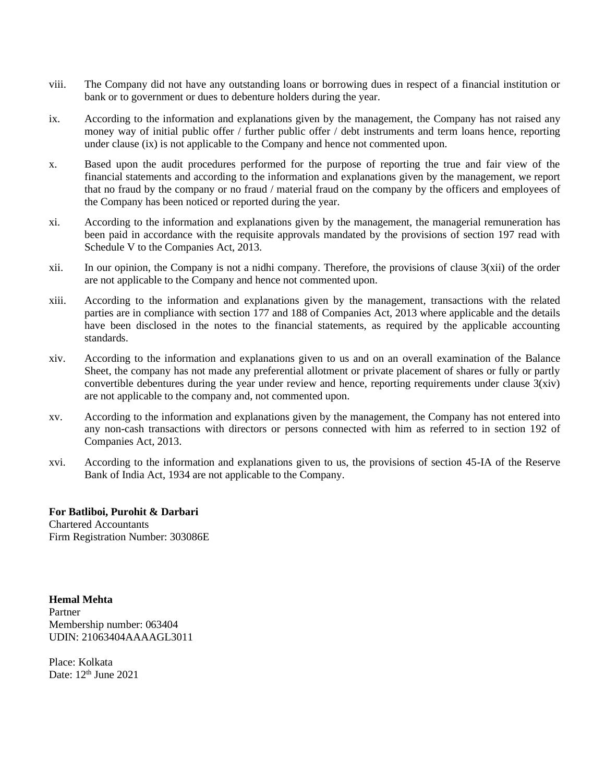- viii. The Company did not have any outstanding loans or borrowing dues in respect of a financial institution or bank or to government or dues to debenture holders during the year.
- ix. According to the information and explanations given by the management, the Company has not raised any money way of initial public offer / further public offer / debt instruments and term loans hence, reporting under clause (ix) is not applicable to the Company and hence not commented upon.
- x. Based upon the audit procedures performed for the purpose of reporting the true and fair view of the financial statements and according to the information and explanations given by the management, we report that no fraud by the company or no fraud / material fraud on the company by the officers and employees of the Company has been noticed or reported during the year.
- xi. According to the information and explanations given by the management, the managerial remuneration has been paid in accordance with the requisite approvals mandated by the provisions of section 197 read with Schedule V to the Companies Act, 2013.
- xii. In our opinion, the Company is not a nidhi company. Therefore, the provisions of clause 3(xii) of the order are not applicable to the Company and hence not commented upon.
- xiii. According to the information and explanations given by the management, transactions with the related parties are in compliance with section 177 and 188 of Companies Act, 2013 where applicable and the details have been disclosed in the notes to the financial statements, as required by the applicable accounting standards.
- xiv. According to the information and explanations given to us and on an overall examination of the Balance Sheet, the company has not made any preferential allotment or private placement of shares or fully or partly convertible debentures during the year under review and hence, reporting requirements under clause  $3(xiv)$ are not applicable to the company and, not commented upon.
- xv. According to the information and explanations given by the management, the Company has not entered into any non-cash transactions with directors or persons connected with him as referred to in section 192 of Companies Act, 2013.
- xvi. According to the information and explanations given to us, the provisions of section 45-IA of the Reserve Bank of India Act, 1934 are not applicable to the Company.

**For Batliboi, Purohit & Darbari** Chartered Accountants Firm Registration Number: 303086E

**Hemal Mehta** Partner Membership number: 063404 UDIN: 21063404AAAAGL3011

Place: Kolkata Date: 12<sup>th</sup> June 2021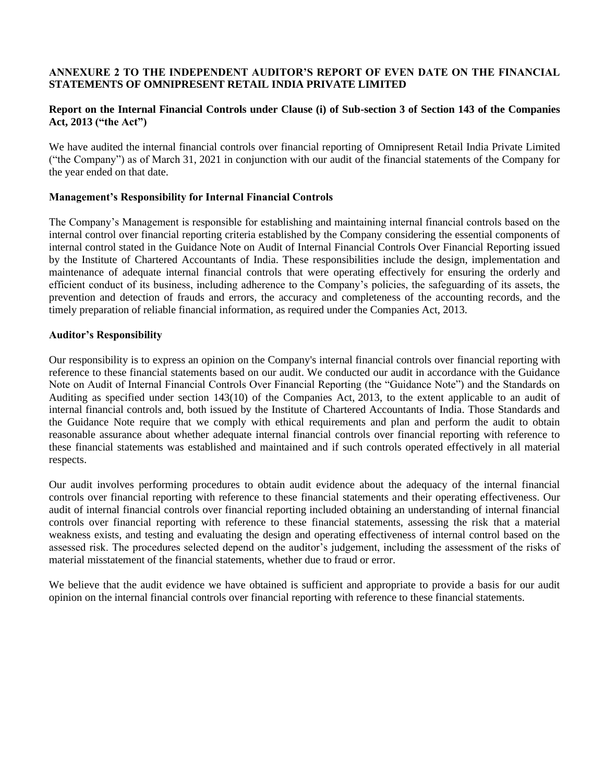# **ANNEXURE 2 TO THE INDEPENDENT AUDITOR'S REPORT OF EVEN DATE ON THE FINANCIAL STATEMENTS OF OMNIPRESENT RETAIL INDIA PRIVATE LIMITED**

# **Report on the Internal Financial Controls under Clause (i) of Sub-section 3 of Section 143 of the Companies Act, 2013 ("the Act")**

We have audited the internal financial controls over financial reporting of Omnipresent Retail India Private Limited ("the Company") as of March 31, 2021 in conjunction with our audit of the financial statements of the Company for the year ended on that date.

# **Management's Responsibility for Internal Financial Controls**

The Company's Management is responsible for establishing and maintaining internal financial controls based on the internal control over financial reporting criteria established by the Company considering the essential components of internal control stated in the Guidance Note on Audit of Internal Financial Controls Over Financial Reporting issued by the Institute of Chartered Accountants of India. These responsibilities include the design, implementation and maintenance of adequate internal financial controls that were operating effectively for ensuring the orderly and efficient conduct of its business, including adherence to the Company's policies, the safeguarding of its assets, the prevention and detection of frauds and errors, the accuracy and completeness of the accounting records, and the timely preparation of reliable financial information, as required under the Companies Act, 2013.

# **Auditor's Responsibility**

Our responsibility is to express an opinion on the Company's internal financial controls over financial reporting with reference to these financial statements based on our audit. We conducted our audit in accordance with the Guidance Note on Audit of Internal Financial Controls Over Financial Reporting (the "Guidance Note") and the Standards on Auditing as specified under section 143(10) of the Companies Act, 2013, to the extent applicable to an audit of internal financial controls and, both issued by the Institute of Chartered Accountants of India. Those Standards and the Guidance Note require that we comply with ethical requirements and plan and perform the audit to obtain reasonable assurance about whether adequate internal financial controls over financial reporting with reference to these financial statements was established and maintained and if such controls operated effectively in all material respects.

Our audit involves performing procedures to obtain audit evidence about the adequacy of the internal financial controls over financial reporting with reference to these financial statements and their operating effectiveness. Our audit of internal financial controls over financial reporting included obtaining an understanding of internal financial controls over financial reporting with reference to these financial statements, assessing the risk that a material weakness exists, and testing and evaluating the design and operating effectiveness of internal control based on the assessed risk. The procedures selected depend on the auditor's judgement, including the assessment of the risks of material misstatement of the financial statements, whether due to fraud or error.

We believe that the audit evidence we have obtained is sufficient and appropriate to provide a basis for our audit opinion on the internal financial controls over financial reporting with reference to these financial statements.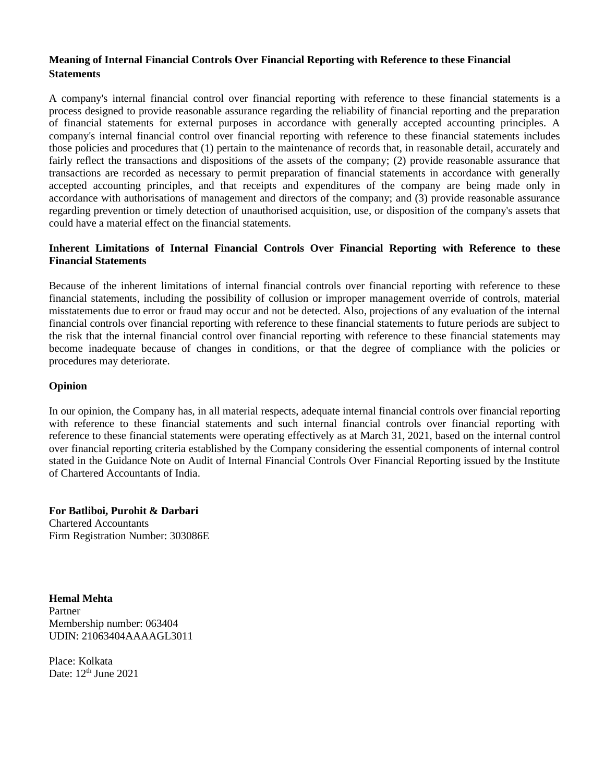# **Meaning of Internal Financial Controls Over Financial Reporting with Reference to these Financial Statements**

A company's internal financial control over financial reporting with reference to these financial statements is a process designed to provide reasonable assurance regarding the reliability of financial reporting and the preparation of financial statements for external purposes in accordance with generally accepted accounting principles. A company's internal financial control over financial reporting with reference to these financial statements includes those policies and procedures that (1) pertain to the maintenance of records that, in reasonable detail, accurately and fairly reflect the transactions and dispositions of the assets of the company; (2) provide reasonable assurance that transactions are recorded as necessary to permit preparation of financial statements in accordance with generally accepted accounting principles, and that receipts and expenditures of the company are being made only in accordance with authorisations of management and directors of the company; and (3) provide reasonable assurance regarding prevention or timely detection of unauthorised acquisition, use, or disposition of the company's assets that could have a material effect on the financial statements.

# **Inherent Limitations of Internal Financial Controls Over Financial Reporting with Reference to these Financial Statements**

Because of the inherent limitations of internal financial controls over financial reporting with reference to these financial statements, including the possibility of collusion or improper management override of controls, material misstatements due to error or fraud may occur and not be detected. Also, projections of any evaluation of the internal financial controls over financial reporting with reference to these financial statements to future periods are subject to the risk that the internal financial control over financial reporting with reference to these financial statements may become inadequate because of changes in conditions, or that the degree of compliance with the policies or procedures may deteriorate.

# **Opinion**

In our opinion, the Company has, in all material respects, adequate internal financial controls over financial reporting with reference to these financial statements and such internal financial controls over financial reporting with reference to these financial statements were operating effectively as at March 31, 2021, based on the internal control over financial reporting criteria established by the Company considering the essential components of internal control stated in the Guidance Note on Audit of Internal Financial Controls Over Financial Reporting issued by the Institute of Chartered Accountants of India.

**For Batliboi, Purohit & Darbari** Chartered Accountants Firm Registration Number: 303086E

**Hemal Mehta** Partner Membership number: 063404 UDIN: 21063404AAAAGL3011

Place: Kolkata Date: 12<sup>th</sup> June 2021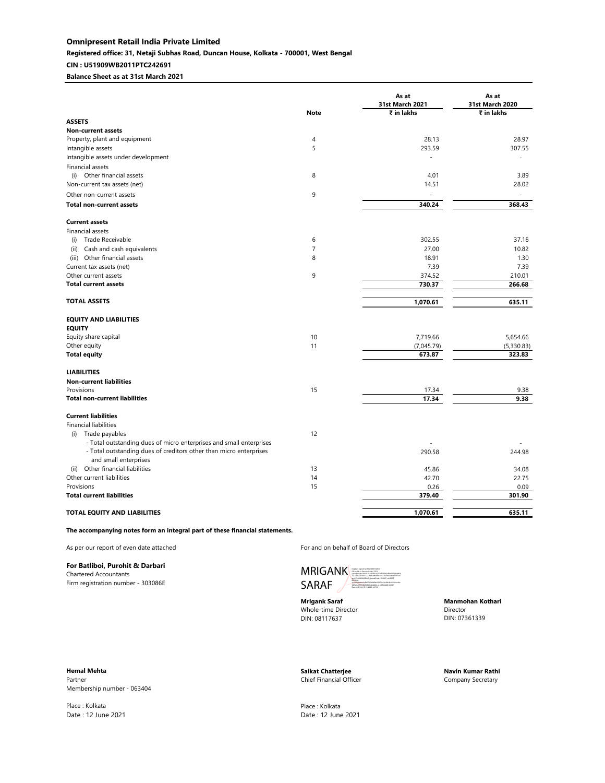# **Omnipresent Retail India Private Limited Registered office: 31, Netaji Subhas Road, Duncan House, Kolkata - 700001, West Bengal CIN : U51909WB2011PTC242691**

**Balance Sheet as at 31st March 2021** 

|                                                                                             | Note                | As at<br><b>31st March 2021</b><br>₹ in lakhs | As at<br><b>31st March 2020</b><br>₹ in lakhs |
|---------------------------------------------------------------------------------------------|---------------------|-----------------------------------------------|-----------------------------------------------|
| <b>ASSETS</b>                                                                               |                     |                                               |                                               |
| <b>Non-current assets</b>                                                                   |                     |                                               |                                               |
| Property, plant and equipment                                                               | $\overline{4}$      | 28.13                                         | 28.97                                         |
| Intangible assets                                                                           | 5                   | 293.59                                        | 307.55                                        |
| Intangible assets under development                                                         |                     |                                               |                                               |
| Financial assets                                                                            |                     |                                               |                                               |
| Other financial assets<br>(i)                                                               | 8                   | 4.01                                          | 3.89                                          |
| Non-current tax assets (net)                                                                |                     | 14.51                                         | 28.02                                         |
| Other non-current assets                                                                    | 9                   | $\overline{\phantom{a}}$                      | $\overline{a}$                                |
| <b>Total non-current assets</b>                                                             |                     | 340.24                                        | 368.43                                        |
|                                                                                             |                     |                                               |                                               |
| <b>Current assets</b>                                                                       |                     |                                               |                                               |
| Financial assets                                                                            |                     |                                               |                                               |
| Trade Receivable<br>(i)                                                                     | 6                   | 302.55                                        | 37.16                                         |
| Cash and cash equivalents<br>(ii)                                                           | $\overline{7}$<br>8 | 27.00                                         | 10.82                                         |
| (iii) Other financial assets                                                                |                     | 18.91<br>7.39                                 | 1.30<br>7.39                                  |
| Current tax assets (net)<br>Other current assets                                            | 9                   |                                               | 210.01                                        |
| <b>Total current assets</b>                                                                 |                     | 374.52<br>730.37                              | 266.68                                        |
|                                                                                             |                     |                                               |                                               |
| <b>TOTAL ASSETS</b>                                                                         |                     | 1,070.61                                      | 635.11                                        |
| <b>EQUITY AND LIABILITIES</b>                                                               |                     |                                               |                                               |
| <b>EQUITY</b>                                                                               |                     |                                               |                                               |
| Equity share capital                                                                        | 10                  | 7,719.66                                      | 5,654.66                                      |
| Other equity                                                                                | 11                  | (7,045.79)                                    | (5,330.83)                                    |
| <b>Total equity</b>                                                                         |                     | 673.87                                        | 323.83                                        |
| <b>LIABILITIES</b>                                                                          |                     |                                               |                                               |
| <b>Non-current liabilities</b>                                                              |                     |                                               |                                               |
| Provisions                                                                                  | 15                  | 17.34                                         | 9.38                                          |
| <b>Total non-current liabilities</b>                                                        |                     | 17.34                                         | 9.38                                          |
| <b>Current liabilities</b>                                                                  |                     |                                               |                                               |
| Financial liabilities                                                                       |                     |                                               |                                               |
| Trade payables<br>(i)                                                                       | 12                  |                                               |                                               |
| - Total outstanding dues of micro enterprises and small enterprises                         |                     |                                               |                                               |
| - Total outstanding dues of creditors other than micro enterprises<br>and small enterprises |                     | 290.58                                        | 244.98                                        |
| Other financial liabilities<br>(ii)                                                         | 13                  | 45.86                                         | 34.08                                         |
| Other current liabilities                                                                   | 14                  | 42.70                                         | 22.75                                         |
| Provisions                                                                                  | 15                  | 0.26                                          | 0.09                                          |
| <b>Total current liabilities</b>                                                            |                     | 379.40                                        | 301.90                                        |
| TOTAL EQUITY AND LIABILITIES                                                                |                     | 1,070.61                                      | 635.11                                        |
|                                                                                             |                     |                                               |                                               |

**The accompanying notes form an integral part of these financial statements.**

As per our report of even date attached For and on behalf of Board of Directors

# **For Batliboi, Purohit & Darbari**

Chartered Accountants Firm registration number - 303086E

MRIGANK SARAF Digitally signed by MRIGANK SARAF DN: c=IN, o=Personal, title=7552, pseudonym=a6b43254a5954c4e70b3763b3eff6c96f509dd6d, ace2740008344ff26ffa, postalCode=700007, st=WEST BENGAL, serialNumber=b3b0795fe4bfab10653e26a38c4bb01b9ce44a 30fb0049f3038031838386688d, cn=MRIGANK SARAF Date: 2021.06.12 13:44:26 +05'30'

**Mrigank Saraf Manmohan Kothari** Whole-time Director Director



Date : 12 June 2021



2.5.4.20=48eab1291246000c3e92285f6c8b9c 5c48cac6a74dd452376ffa26c596c98824, postalCode=700089, st=WEST BENGAL, serialNumber=c96df1cea522721129875d1aa ffc5340ea37149434d4c53f5dba0903189c905 Date: 2021.06.12 14:27:08 +05'30'

DIN: 07361339



**Hemal Mehta Saikat Chatterjee Navin Kumar Rathi** Partner **Chief Financial Officer** Company Secretary Membership number - 063404

Place : Kolkata **Place : Kolkata** Place : Kolkata Place : Kolkata Place : Kolkata Place : Kolkata Place : Kolkata Place : Kolkata Place : T2 June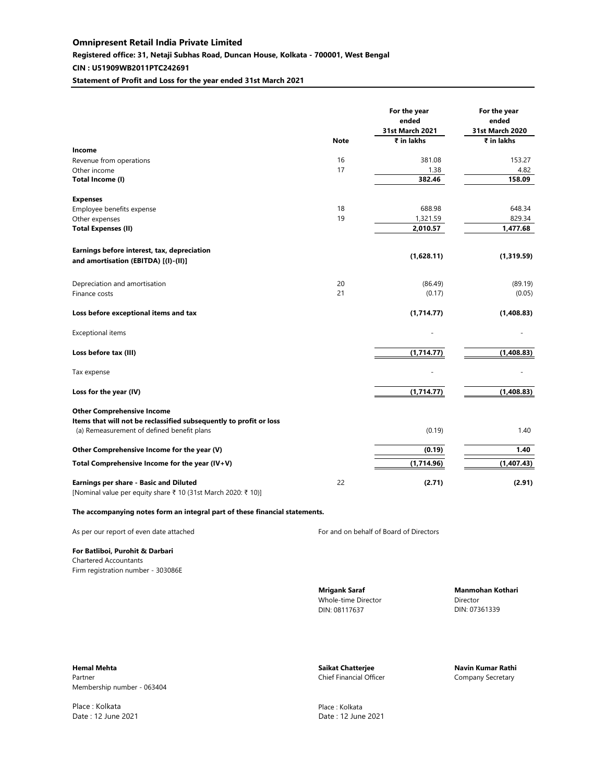### **Registered office: 31, Netaji Subhas Road, Duncan House, Kolkata - 700001, West Bengal**

**CIN : U51909WB2011PTC242691**

**Statement of Profit and Loss for the year ended 31st March 2021**

|                                                                                                         |             | For the year<br>ended<br>31st March 2021 | For the year<br>ended<br>31st March 2020 |
|---------------------------------------------------------------------------------------------------------|-------------|------------------------------------------|------------------------------------------|
|                                                                                                         | <b>Note</b> | ₹ in lakhs                               | ₹ in lakhs                               |
| Income                                                                                                  |             |                                          |                                          |
| Revenue from operations                                                                                 | 16          | 381.08                                   | 153.27                                   |
| Other income                                                                                            | 17          | 1.38                                     | 4.82                                     |
| Total Income (I)                                                                                        |             | 382.46                                   | 158.09                                   |
| <b>Expenses</b>                                                                                         |             |                                          |                                          |
| Employee benefits expense                                                                               | 18          | 688.98                                   | 648.34                                   |
| Other expenses                                                                                          | 19          | 1,321.59                                 | 829.34                                   |
| <b>Total Expenses (II)</b>                                                                              |             | 2,010.57                                 | 1,477.68                                 |
| Earnings before interest, tax, depreciation                                                             |             |                                          |                                          |
| and amortisation (EBITDA) [(I)-(II)]                                                                    |             | (1,628.11)                               | (1,319.59)                               |
| Depreciation and amortisation                                                                           | 20          | (86.49)                                  | (89.19)                                  |
| Finance costs                                                                                           | 21          | (0.17)                                   | (0.05)                                   |
| Loss before exceptional items and tax                                                                   |             | (1,714.77)                               | (1,408.83)                               |
| <b>Exceptional items</b>                                                                                |             |                                          |                                          |
| Loss before tax (III)                                                                                   |             | (1,714.77)                               | (1,408.83)                               |
| Tax expense                                                                                             |             |                                          |                                          |
| Loss for the year (IV)                                                                                  |             | (1,714.77)                               | (1,408.83)                               |
| <b>Other Comprehensive Income</b><br>Items that will not be reclassified subsequently to profit or loss |             |                                          |                                          |
| (a) Remeasurement of defined benefit plans                                                              |             | (0.19)                                   | 1.40                                     |
| Other Comprehensive Income for the year (V)                                                             |             | (0.19)                                   | 1.40                                     |
| Total Comprehensive Income for the year $(IV+V)$                                                        |             | (1,714.96)                               | (1,407.43)                               |
| Earnings per share - Basic and Diluted<br>[Nominal value per equity share ₹ 10 (31st March 2020: ₹ 10)] | 22          | (2.71)                                   | (2.91)                                   |

### **The accompanying notes form an integral part of these financial statements.**

As per our report of even date attached For and on behalf of Board of Directors

#### **For Batliboi, Purohit & Darbari**

Chartered Accountants Firm registration number - 303086E

**Hemal Mehta Saikat Chatterjee Navin Kumar Rathi** Partner **Chief Financial Officer** Company Secretary Chief Financial Officer Company Secretary Membership number - 063404

Place : Kolkata Place : Kolkata Date : 12 June 2021 Date : 12 June 2021



Whole-time Director Director DIN: 08117637



**Mrigank Saraf Manmohan Kothari**

NAVIN KUMAR RATHI Digitally signed by NAVIN KUMAR RATHI DN: c=IN, o=Personal, 2.5.4.20=3c419b872d2ff050b99cd2f6b320a3bc 807b10ed9c1fe4deb1cb3427a7b18f5b, postalCode=711101, st=WEST BENGAL, serialNumber=afc534df4d5d345b84e0d725677 d6a6e5b3193114ebbc47a8fd9feabf1ea18f8, cn=NAVIN KUMAR RATHI Date: 2021.06.12 13:48:57 +05'30'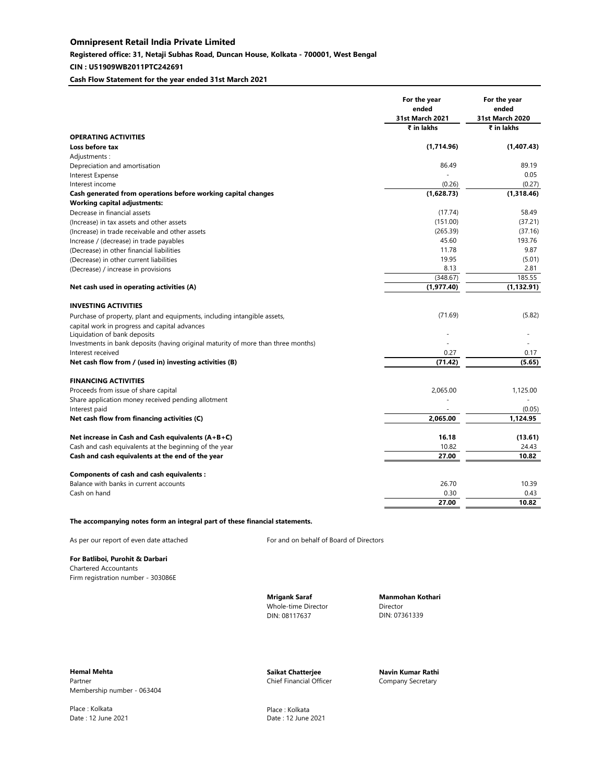### **Registered office: 31, Netaji Subhas Road, Duncan House, Kolkata - 700001, West Bengal**

### **CIN : U51909WB2011PTC242691**

**Cash Flow Statement for the year ended 31st March 2021**

|                                                                                   | For the year           | For the year    |
|-----------------------------------------------------------------------------------|------------------------|-----------------|
|                                                                                   | ended                  | ended           |
|                                                                                   | <b>31st March 2021</b> | 31st March 2020 |
|                                                                                   | ₹ in lakhs             | ₹ in lakhs      |
| <b>OPERATING ACTIVITIES</b>                                                       |                        |                 |
| Loss before tax                                                                   | (1,714.96)             | (1,407.43)      |
| Adjustments:                                                                      |                        |                 |
| Depreciation and amortisation                                                     | 86.49                  | 89.19           |
| Interest Expense                                                                  |                        | 0.05            |
| Interest income                                                                   | (0.26)                 | (0.27)          |
| Cash generated from operations before working capital changes                     | (1,628.73)             | (1,318.46)      |
| <b>Working capital adjustments:</b>                                               |                        |                 |
| Decrease in financial assets                                                      | (17.74)                | 58.49           |
| (Increase) in tax assets and other assets                                         | (151.00)               | (37.21)         |
| (Increase) in trade receivable and other assets                                   | (265.39)               | (37.16)         |
| Increase / (decrease) in trade payables                                           | 45.60                  | 193.76          |
| (Decrease) in other financial liabilities                                         | 11.78                  | 9.87            |
| (Decrease) in other current liabilities                                           | 19.95                  | (5.01)          |
| (Decrease) / increase in provisions                                               | 8.13                   | 2.81            |
|                                                                                   | (348.67)               | 185.55          |
| Net cash used in operating activities (A)                                         | (1,977.40)             | (1, 132.91)     |
| <b>INVESTING ACTIVITIES</b>                                                       |                        |                 |
|                                                                                   | (71.69)                | (5.82)          |
| Purchase of property, plant and equipments, including intangible assets,          |                        |                 |
| capital work in progress and capital advances                                     |                        |                 |
| Liquidation of bank deposits                                                      |                        |                 |
| Investments in bank deposits (having original maturity of more than three months) |                        |                 |
| Interest received                                                                 | 0.27                   | 0.17            |
| Net cash flow from / (used in) investing activities (B)                           | (71.42)                | (5.65)          |
| <b>FINANCING ACTIVITIES</b>                                                       |                        |                 |
| Proceeds from issue of share capital                                              | 2,065.00               | 1,125.00        |
| Share application money received pending allotment                                |                        |                 |
| Interest paid                                                                     | ٠                      | (0.05)          |
| Net cash flow from financing activities (C)                                       | 2,065.00               | 1,124.95        |
|                                                                                   |                        |                 |
| Net increase in Cash and Cash equivalents $(A+B+C)$                               | 16.18                  | (13.61)         |
| Cash and cash equivalents at the beginning of the year                            | 10.82                  | 24.43           |
| Cash and cash equivalents at the end of the year                                  | 27.00                  | 10.82           |
|                                                                                   |                        |                 |
| <b>Components of cash and cash equivalents:</b>                                   |                        |                 |
| Balance with banks in current accounts                                            | 26.70                  | 10.39           |
| Cash on hand                                                                      | 0.30                   | 0.43            |
|                                                                                   | 27.00                  | 10.82           |
|                                                                                   |                        |                 |
| The accompanying notes form an integral part of these financial statements.       |                        |                 |

**For Batliboi, Purohit & Darbari** Chartered Accountants Firm registration number - 303086E

**Hemal Mehta Saikat Chatterjee Navin Kumar Rathi** Partner **Chief Financial Officer** Company Secretary Membership number - 063404

Place : Kolkata Place : Kolkata Place : Kolkata Place : Kolkata Place : Kolkata Place : Kolkata Place : Kolkata Place : Kolkata Place : Kolkata Place : Kolkata Place : Kolkata Place : Tallume : Tallume : Tallume : Tallume

As per our report of even date attached For and on behalf of Board of Directors



Whole-time Director<br>DIN: 08117637 DIN: 07361339 DIN: 08117637

SAIKAT **CHATTERJEE** Digitally signed by SAIKAT CHATTERJEE DN: c=IN, o=Personal, 2.5.4.20=eb51e28faed3b60b6c097faead454f917 13d9ca359fa6caf6d8d88507a07206a, postalCode=700085, st=WEST BENGAL, serialNumber=ed0cb6876c4284d99d343f921789 56f76b1b584fc4b8c6ba461ae87e827482fb, cn=SAIKAT CHATTERJEE Date: 2021.06.12 13:52:00 +05'30'

Date : 12 June 2021

**Mrigank Saraf Manmohan Kothari**<br>
Whole-time Director<br>
Director

NAVIN KUMAR RATHI Digitally signed by NAVIN KUMAR RATHI DN: c=IN, o=Personal, 2.5.4.20=3c419b872d2ff050b99cd2f6b320a3bc807b10ed9 c1fe4deb1cb3427a7b18f5b, postalCode=711101, st=WEST serialNumber=afc534df4d5d345b84e0d725677d6a6e5b3 193114ebbc47a8fd9feabf1ea18f8, cn=NAVIN KUMAR Date: 2021.06.12 13:49:48 +05'30'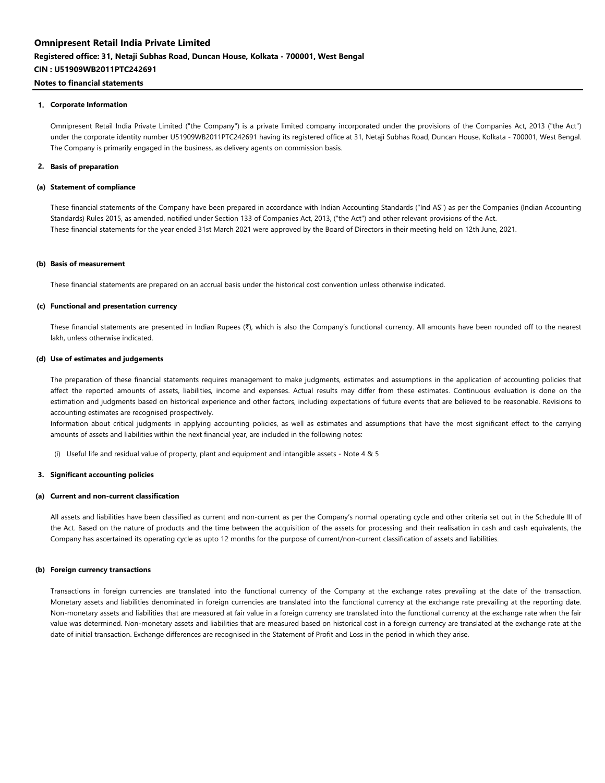### **1. Corporate Information**

Omnipresent Retail India Private Limited ("the Company") is a private limited company incorporated under the provisions of the Companies Act, 2013 ("the Act") under the corporate identity number U51909WB2011PTC242691 having its registered office at 31, Netaji Subhas Road, Duncan House, Kolkata - 700001, West Bengal. The Company is primarily engaged in the business, as delivery agents on commission basis.

#### **2. Basis of preparation**

#### **(a) Statement of compliance**

These financial statements of the Company have been prepared in accordance with Indian Accounting Standards ("Ind AS") as per the Companies (Indian Accounting Standards) Rules 2015, as amended, notified under Section 133 of Companies Act, 2013, ("the Act") and other relevant provisions of the Act. These financial statements for the year ended 31st March 2021 were approved by the Board of Directors in their meeting held on 12th June, 2021.

#### **(b) Basis of measurement**

These financial statements are prepared on an accrual basis under the historical cost convention unless otherwise indicated.

#### **(c) Functional and presentation currency**

These financial statements are presented in Indian Rupees (₹), which is also the Company's functional currency. All amounts have been rounded off to the nearest lakh, unless otherwise indicated.

#### **(d) Use of estimates and judgements**

The preparation of these financial statements requires management to make judgments, estimates and assumptions in the application of accounting policies that affect the reported amounts of assets, liabilities, income and expenses. Actual results may differ from these estimates. Continuous evaluation is done on the estimation and judgments based on historical experience and other factors, including expectations of future events that are believed to be reasonable. Revisions to accounting estimates are recognised prospectively.

Information about critical judgments in applying accounting policies, as well as estimates and assumptions that have the most significant effect to the carrying amounts of assets and liabilities within the next financial year, are included in the following notes:

(i) Useful life and residual value of property, plant and equipment and intangible assets - Note 4 & 5

#### **3. Significant accounting policies**

#### **(a) Current and non-current classification**

All assets and liabilities have been classified as current and non-current as per the Company's normal operating cycle and other criteria set out in the Schedule III of the Act. Based on the nature of products and the time between the acquisition of the assets for processing and their realisation in cash and cash equivalents, the Company has ascertained its operating cycle as upto 12 months for the purpose of current/non-current classification of assets and liabilities.

#### **(b) Foreign currency transactions**

Transactions in foreign currencies are translated into the functional currency of the Company at the exchange rates prevailing at the date of the transaction. Monetary assets and liabilities denominated in foreign currencies are translated into the functional currency at the exchange rate prevailing at the reporting date. Non-monetary assets and liabilities that are measured at fair value in a foreign currency are translated into the functional currency at the exchange rate when the fair value was determined. Non-monetary assets and liabilities that are measured based on historical cost in a foreign currency are translated at the exchange rate at the date of initial transaction. Exchange differences are recognised in the Statement of Profit and Loss in the period in which they arise.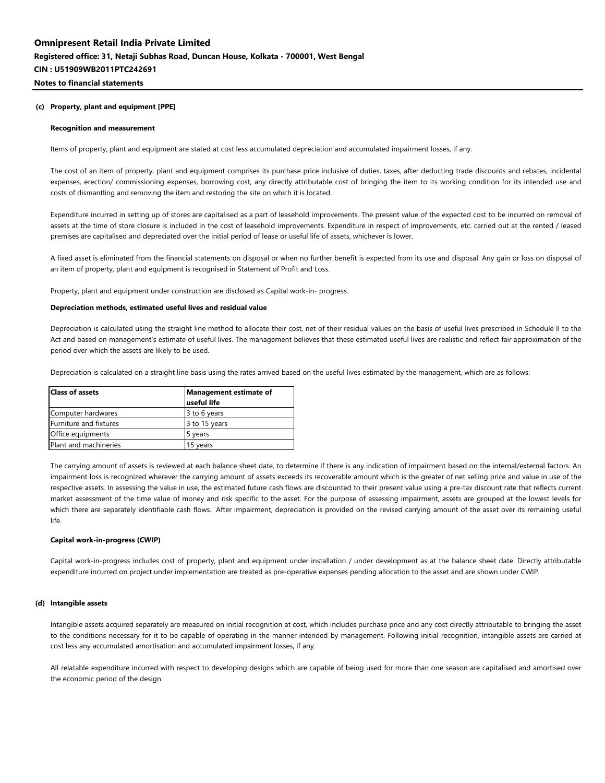#### **(c) Property, plant and equipment [PPE]**

#### **Recognition and measurement**

Items of property, plant and equipment are stated at cost less accumulated depreciation and accumulated impairment losses, if any.

The cost of an item of property, plant and equipment comprises its purchase price inclusive of duties, taxes, after deducting trade discounts and rebates, incidental expenses, erection/ commissioning expenses, borrowing cost, any directly attributable cost of bringing the item to its working condition for its intended use and costs of dismantling and removing the item and restoring the site on which it is located.

Expenditure incurred in setting up of stores are capitalised as a part of leasehold improvements. The present value of the expected cost to be incurred on removal of assets at the time of store closure is included in the cost of leasehold improvements. Expenditure in respect of improvements, etc. carried out at the rented / leased premises are capitalised and depreciated over the initial period of lease or useful life of assets, whichever is lower.

A fixed asset is eliminated from the financial statements on disposal or when no further benefit is expected from its use and disposal. Any gain or loss on disposal of an item of property, plant and equipment is recognised in Statement of Profit and Loss.

Property, plant and equipment under construction are disclosed as Capital work-in- progress.

#### **Depreciation methods, estimated useful lives and residual value**

Depreciation is calculated using the straight line method to allocate their cost, net of their residual values on the basis of useful lives prescribed in Schedule II to the Act and based on management's estimate of useful lives. The management believes that these estimated useful lives are realistic and reflect fair approximation of the period over which the assets are likely to be used.

Depreciation is calculated on a straight line basis using the rates arrived based on the useful lives estimated by the management, which are as follows:

| <b>Class of assets</b> | Management estimate of |
|------------------------|------------------------|
|                        | luseful life           |
| Computer hardwares     | 3 to 6 years           |
| Furniture and fixtures | 3 to 15 years          |
| Office equipments      | 5 years                |
| Plant and machineries  | 15 years               |

The carrying amount of assets is reviewed at each balance sheet date, to determine if there is any indication of impairment based on the internal/external factors. An impairment loss is recognized wherever the carrying amount of assets exceeds its recoverable amount which is the greater of net selling price and value in use of the respective assets. In assessing the value in use, the estimated future cash flows are discounted to their present value using a pre-tax discount rate that reflects current market assessment of the time value of money and risk specific to the asset. For the purpose of assessing impairment, assets are grouped at the lowest levels for which there are separately identifiable cash flows. After impairment, depreciation is provided on the revised carrying amount of the asset over its remaining useful life.

#### **Capital work-in-progress (CWIP)**

Capital work-in-progress includes cost of property, plant and equipment under installation / under development as at the balance sheet date. Directly attributable expenditure incurred on project under implementation are treated as pre-operative expenses pending allocation to the asset and are shown under CWIP.

#### **(d) Intangible assets**

Intangible assets acquired separately are measured on initial recognition at cost, which includes purchase price and any cost directly attributable to bringing the asset to the conditions necessary for it to be capable of operating in the manner intended by management. Following initial recognition, intangible assets are carried at cost less any accumulated amortisation and accumulated impairment losses, if any.

All relatable expenditure incurred with respect to developing designs which are capable of being used for more than one season are capitalised and amortised over the economic period of the design.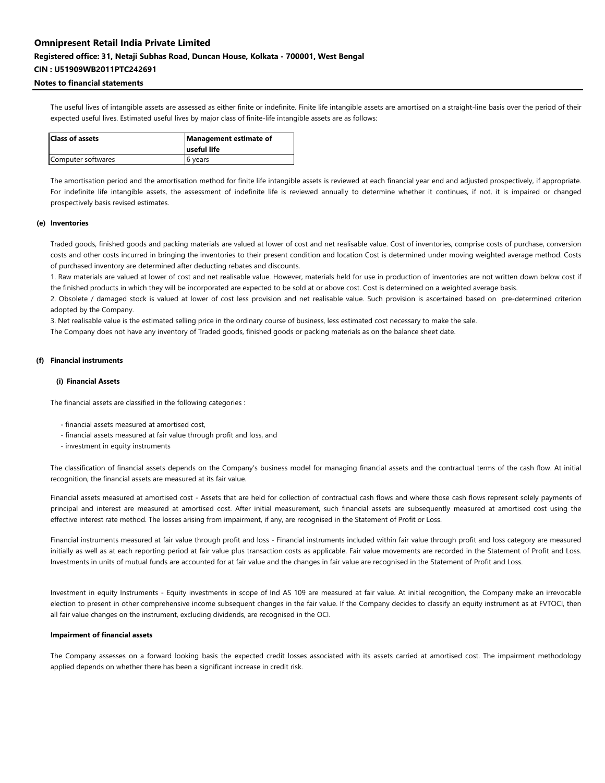# **Omnipresent Retail India Private Limited for it to be capable of operations necessary for it to be capable asset**

# Registered office: 31, Netaji Subhas Road, Duncan House, Kolkata - 700001, West Bengal

#### **CIN : U51909WB2011PTC242691** All relatable expenditure incurred with respect to developing designs which are capable of being used for more than one season are capitalised and amortised over

## **Notes to financial statements**

The useful lives of intangible assets are assessed as either finite or indefinite. Finite life intangible assets are amortised on a straight-line basis over the period of their expected useful lives. Estimated useful lives by major class of finite-life intangible assets are as follows:

| <b>Class of assets</b> | Management estimate of |
|------------------------|------------------------|
|                        | useful life            |
| Computer softwares     | 6 years                |

The amortisation period and the amortisation method for finite life intangible assets is reviewed at each financial year end and adjusted prospectively, if appropriate. For indefinite life intangible assets, the assessment of indefinite life is reviewed annually to determine whether it continues, if not, it is impaired or changed prospectively basis revised estimates.

### **(e) Inventories**

Traded goods, finished goods and packing materials are valued at lower of cost and net realisable value. Cost of inventories, comprise costs of purchase, conversion costs and other costs incurred in bringing the inventories to their present condition and location Cost is determined under moving weighted average method. Costs of purchased inventory are determined after deducting rebates and discounts.

1. Raw materials are valued at lower of cost and net realisable value. However, materials held for use in production of inventories are not written down below cost if the finished products in which they will be incorporated are expected to be sold at or above cost. Cost is determined on a weighted average basis.

2. Obsolete / damaged stock is valued at lower of cost less provision and net realisable value. Such provision is ascertained based on pre-determined criterion adopted by the Company.

3. Net realisable value is the estimated selling price in the ordinary course of business, less estimated cost necessary to make the sale.

The Company does not have any inventory of Traded goods, finished goods or packing materials as on the balance sheet date.

#### **(f) Financial instruments**

#### **(i) Financial Assets**

The financial assets are classified in the following categories :

- financial assets measured at amortised cost,
- financial assets measured at fair value through profit and loss, and
- investment in equity instruments

The classification of financial assets depends on the Company's business model for managing financial assets and the contractual terms of the cash flow. At initial recognition, the financial assets are measured at its fair value.

Financial assets measured at amortised cost - Assets that are held for collection of contractual cash flows and where those cash flows represent solely payments of principal and interest are measured at amortised cost. After initial measurement, such financial assets are subsequently measured at amortised cost using the effective interest rate method. The losses arising from impairment, if any, are recognised in the Statement of Profit or Loss.

Financial instruments measured at fair value through profit and loss - Financial instruments included within fair value through profit and loss category are measured initially as well as at each reporting period at fair value plus transaction costs as applicable. Fair value movements are recorded in the Statement of Profit and Loss. Investments in units of mutual funds are accounted for at fair value and the changes in fair value are recognised in the Statement of Profit and Loss.

Investment in equity Instruments - Equity investments in scope of Ind AS 109 are measured at fair value. At initial recognition, the Company make an irrevocable election to present in other comprehensive income subsequent changes in the fair value. If the Company decides to classify an equity instrument as at FVTOCI, then all fair value changes on the instrument, excluding dividends, are recognised in the OCI.

#### **Impairment of financial assets**

The Company assesses on a forward looking basis the expected credit losses associated with its assets carried at amortised cost. The impairment methodology applied depends on whether there has been a significant increase in credit risk.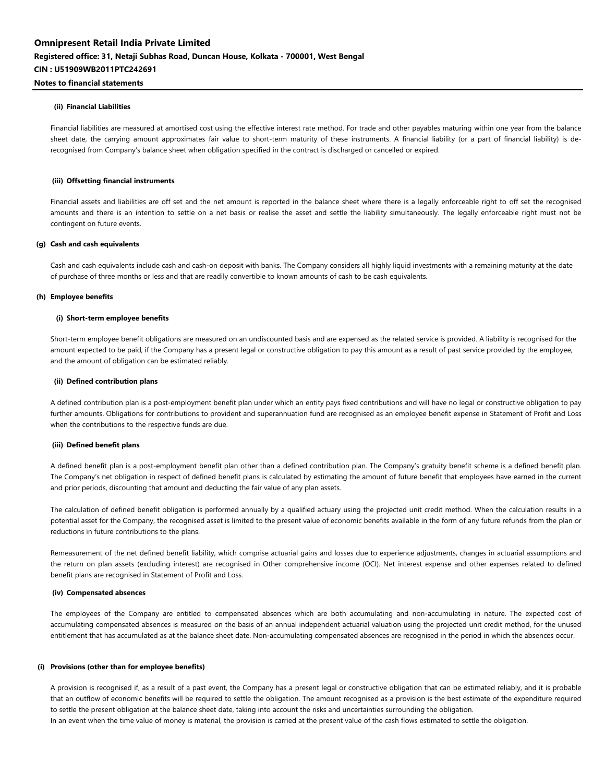#### **(ii) Financial Liabilities**

Financial liabilities are measured at amortised cost using the effective interest rate method. For trade and other payables maturing within one year from the balance sheet date, the carrying amount approximates fair value to short-term maturity of these instruments. A financial liability (or a part of financial liability) is derecognised from Company's balance sheet when obligation specified in the contract is discharged or cancelled or expired.

#### **(iii) Offsetting financial instruments**

Financial assets and liabilities are off set and the net amount is reported in the balance sheet where there is a legally enforceable right to off set the recognised amounts and there is an intention to settle on a net basis or realise the asset and settle the liability simultaneously. The legally enforceable right must not be contingent on future events.

#### **(g) Cash and cash equivalents**

Cash and cash equivalents include cash and cash-on deposit with banks. The Company considers all highly liquid investments with a remaining maturity at the date of purchase of three months or less and that are readily convertible to known amounts of cash to be cash equivalents.

#### **(h) Employee benefits**

#### **(i) Short-term employee benefits**

Short-term employee benefit obligations are measured on an undiscounted basis and are expensed as the related service is provided. A liability is recognised for the amount expected to be paid, if the Company has a present legal or constructive obligation to pay this amount as a result of past service provided by the employee, and the amount of obligation can be estimated reliably.

#### **(ii) Defined contribution plans**

A defined contribution plan is a post-employment benefit plan under which an entity pays fixed contributions and will have no legal or constructive obligation to pay further amounts. Obligations for contributions to provident and superannuation fund are recognised as an employee benefit expense in Statement of Profit and Loss when the contributions to the respective funds are due.

#### **(iii) Defined benefit plans**

A defined benefit plan is a post-employment benefit plan other than a defined contribution plan. The Company's gratuity benefit scheme is a defined benefit plan. The Company's net obligation in respect of defined benefit plans is calculated by estimating the amount of future benefit that employees have earned in the current and prior periods, discounting that amount and deducting the fair value of any plan assets.

The calculation of defined benefit obligation is performed annually by a qualified actuary using the projected unit credit method. When the calculation results in a potential asset for the Company, the recognised asset is limited to the present value of economic benefits available in the form of any future refunds from the plan or reductions in future contributions to the plans.

Remeasurement of the net defined benefit liability, which comprise actuarial gains and losses due to experience adjustments, changes in actuarial assumptions and the return on plan assets (excluding interest) are recognised in Other comprehensive income (OCI). Net interest expense and other expenses related to defined benefit plans are recognised in Statement of Profit and Loss.

#### **(iv) Compensated absences**

The employees of the Company are entitled to compensated absences which are both accumulating and non-accumulating in nature. The expected cost of accumulating compensated absences is measured on the basis of an annual independent actuarial valuation using the projected unit credit method, for the unused entitlement that has accumulated as at the balance sheet date. Non-accumulating compensated absences are recognised in the period in which the absences occur.

#### **(i) Provisions (other than for employee benefits)**

A provision is recognised if, as a result of a past event, the Company has a present legal or constructive obligation that can be estimated reliably, and it is probable that an outflow of economic benefits will be required to settle the obligation. The amount recognised as a provision is the best estimate of the expenditure required to settle the present obligation at the balance sheet date, taking into account the risks and uncertainties surrounding the obligation. In an event when the time value of money is material, the provision is carried at the present value of the cash flows estimated to settle the obligation.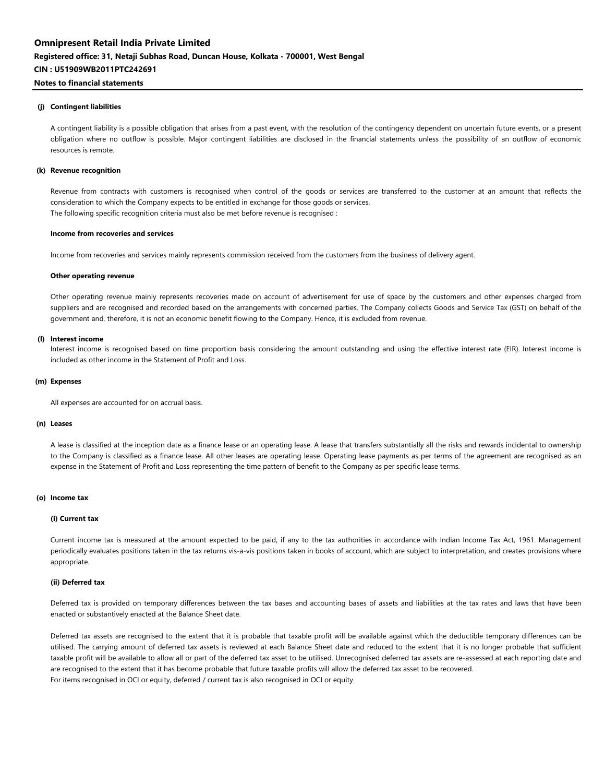#### **(j) Contingent liabilities**

A contingent liability is a possible obligation that arises from a past event, with the resolution of the contingency dependent on uncertain future events, or a present obligation where no outflow is possible. Major contingent liabilities are disclosed in the financial statements unless the possibility of an outflow of economic resources is remote.

#### **(k) Revenue recognition**

Revenue from contracts with customers is recognised when control of the goods or services are transferred to the customer at an amount that reflects the consideration to which the Company expects to be entitled in exchange for those goods or services. The following specific recognition criteria must also be met before revenue is recognised :

#### **Income from recoveries and services**

Income from recoveries and services mainly represents commission received from the customers from the business of delivery agent.

#### **Other operating revenue**

Other operating revenue mainly represents recoveries made on account of advertisement for use of space by the customers and other expenses charged from suppliers and are recognised and recorded based on the arrangements with concerned parties. The Company collects Goods and Service Tax (GST) on behalf of the government and, therefore, it is not an economic benefit flowing to the Company. Hence, it is excluded from revenue.

#### **(l) Interest income**

Interest income is recognised based on time proportion basis considering the amount outstanding and using the effective interest rate (EIR). Interest income is included as other income in the Statement of Profit and Loss.

#### **(m) Expenses**

All expenses are accounted for on accrual basis.

### **(n) Leases**

A lease is classified at the inception date as a finance lease or an operating lease. A lease that transfers substantially all the risks and rewards incidental to ownership to the Company is classified as a finance lease. All other leases are operating lease. Operating lease payments as per terms of the agreement are recognised as an expense in the Statement of Profit and Loss representing the time pattern of benefit to the Company as per specific lease terms.

#### **(o) Income tax**

#### **(i) Current tax**

Current income tax is measured at the amount expected to be paid, if any to the tax authorities in accordance with Indian Income Tax Act, 1961. Management periodically evaluates positions taken in the tax returns vis-a-vis positions taken in books of account, which are subject to interpretation, and creates provisions where appropriate.

#### **(ii) Deferred tax**

Deferred tax is provided on temporary differences between the tax bases and accounting bases of assets and liabilities at the tax rates and laws that have been enacted or substantively enacted at the Balance Sheet date.

Deferred tax assets are recognised to the extent that it is probable that taxable profit will be available against which the deductible temporary differences can be utilised. The carrying amount of deferred tax assets is reviewed at each Balance Sheet date and reduced to the extent that it is no longer probable that sufficient taxable profit will be available to allow all or part of the deferred tax asset to be utilised. Unrecognised deferred tax assets are re-assessed at each reporting date and are recognised to the extent that it has become probable that future taxable profits will allow the deferred tax asset to be recovered. For items recognised in OCI or equity, deferred / current tax is also recognised in OCI or equity.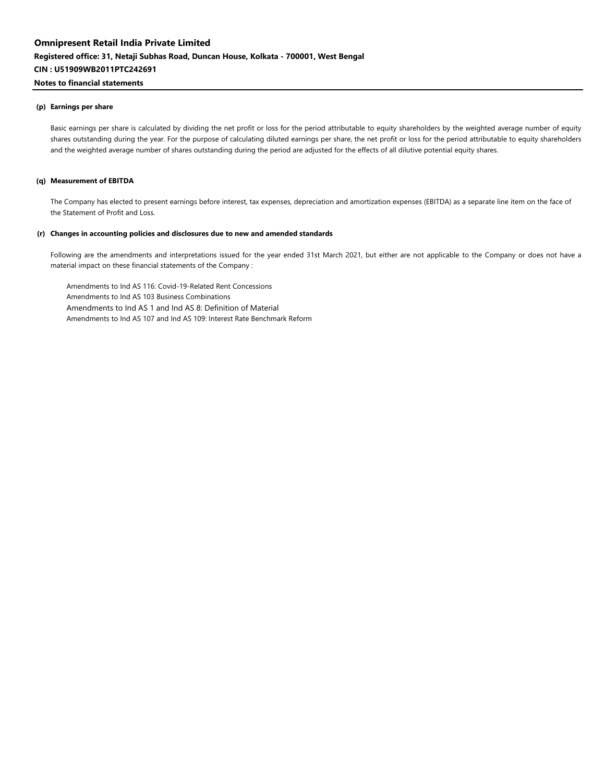#### **(p) Earnings per share**

Basic earnings per share is calculated by dividing the net profit or loss for the period attributable to equity shareholders by the weighted average number of equity shares outstanding during the year. For the purpose of calculating diluted earnings per share, the net profit or loss for the period attributable to equity shareholders and the weighted average number of shares outstanding during the period are adjusted for the effects of all dilutive potential equity shares.

### **(q) Measurement of EBITDA**

The Company has elected to present earnings before interest, tax expenses, depreciation and amortization expenses (EBITDA) as a separate line item on the face of the Statement of Profit and Loss.

#### **(r) Changes in accounting policies and disclosures due to new and amended standards**

Following are the amendments and interpretations issued for the year ended 31st March 2021, but either are not applicable to the Company or does not have a material impact on these financial statements of the Company :

Amendments to Ind AS 116: Covid-19-Related Rent Concessions Amendments to Ind AS 103 Business Combinations Amendments to Ind AS 1 and Ind AS 8: Definition of Material Amendments to Ind AS 107 and Ind AS 109: Interest Rate Benchmark Reform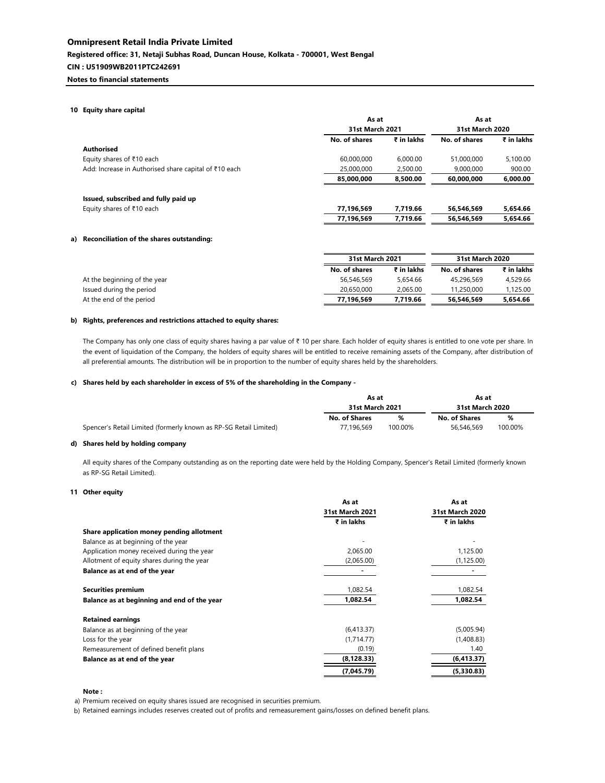### **Notes to financial statements**

#### **10 Equity share capital**

|                                                       |               | As at<br><b>31st March 2021</b> |               | As at           |
|-------------------------------------------------------|---------------|---------------------------------|---------------|-----------------|
|                                                       |               |                                 |               | 31st March 2020 |
|                                                       | No. of shares | ₹ in lakhs                      | No. of shares | ₹ in lakhs      |
| <b>Authorised</b>                                     |               |                                 |               |                 |
| Equity shares of ₹10 each                             | 60.000.000    | 6.000.00                        | 51,000,000    | 5,100.00        |
| Add: Increase in Authorised share capital of ₹10 each | 25,000,000    | 2.500.00                        | 9.000.000     | 900.00          |
|                                                       | 85.000.000    | 8,500.00                        | 60.000.000    | 6,000.00        |
| Issued, subscribed and fully paid up                  |               |                                 |               |                 |
| Equity shares of ₹10 each                             | 77,196,569    | 7,719.66                        | 56,546,569    | 5,654.66        |
|                                                       | 77.196.569    | 7.719.66                        | 56.546.569    | 5.654.66        |

#### **a) Reconciliation of the shares outstanding:**

|                              | 31st March 2021 |            | 31st March 2020 |            |
|------------------------------|-----------------|------------|-----------------|------------|
|                              | No. of shares   | ₹ in lakhs | No. of shares   | ₹ in lakhs |
| At the beginning of the year | 56.546.569      | 5.654.66   | 45.296.569      | 4.529.66   |
| Issued during the period     | 20.650.000      | 2.065.00   | 11.250.000      | 1,125.00   |
| At the end of the period     | 77.196.569      | 7.719.66   | 56.546.569      | 5.654.66   |

#### **b) Rights, preferences and restrictions attached to equity shares:**

The Company has only one class of equity shares having a par value of ₹ 10 per share. Each holder of equity shares is entitled to one vote per share. In the event of liquidation of the Company, the holders of equity shares will be entitled to receive remaining assets of the Company, after distribution of all preferential amounts. The distribution will be in proportion to the number of equity shares held by the shareholders.

#### **c) Shares held by each shareholder in excess of 5% of the shareholding in the Company -**

|                                                                   | As at<br>31st March 2021 |         | As at                |                 |
|-------------------------------------------------------------------|--------------------------|---------|----------------------|-----------------|
|                                                                   |                          |         |                      | 31st March 2020 |
|                                                                   | No. of Shares            | ℅       | <b>No. of Shares</b> | ℅               |
| Spencer's Retail Limited (formerly known as RP-SG Retail Limited) | 77.196.569               | 100.00% | 56.546.569           | 100.00%         |

#### **d) Shares held by holding company**

All equity shares of the Company outstanding as on the reporting date were held by the Holding Company, Spencer's Retail Limited (formerly known as RP-SG Retail Limited).

#### **11 Other equity**

|                                             | As at                  | As at           |
|---------------------------------------------|------------------------|-----------------|
|                                             | <b>31st March 2021</b> | 31st March 2020 |
|                                             | ₹ in lakhs             | ₹ in lakhs      |
| Share application money pending allotment   |                        |                 |
| Balance as at beginning of the year         |                        |                 |
| Application money received during the year  | 2,065.00               | 1,125.00        |
| Allotment of equity shares during the year  | (2,065.00)             | (1, 125.00)     |
| Balance as at end of the year               |                        |                 |
| <b>Securities premium</b>                   | 1,082.54               | 1,082.54        |
| Balance as at beginning and end of the year | 1,082.54               | 1,082.54        |
| <b>Retained earnings</b>                    |                        |                 |
| Balance as at beginning of the year         | (6,413.37)             | (5,005.94)      |
| Loss for the year                           | (1,714.77)             | (1,408.83)      |
| Remeasurement of defined benefit plans      | (0.19)                 | 1.40            |
| Balance as at end of the year               | (8, 128.33)            | (6, 413.37)     |
|                                             | (7,045.79)             | (5,330.83)      |

#### **Note :**

a) Premium received on equity shares issued are recognised in securities premium.

b) Retained earnings includes reserves created out of profits and remeasurement gains/losses on defined benefit plans.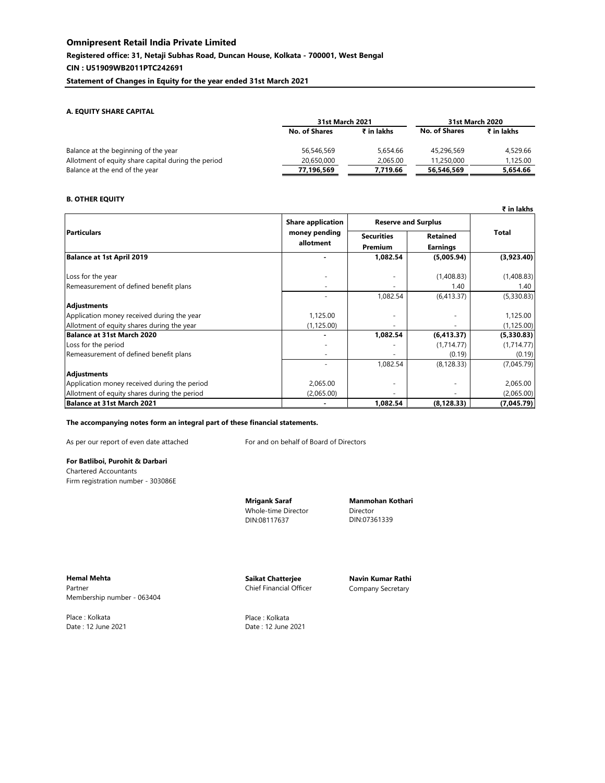### **Registered office: 31, Netaji Subhas Road, Duncan House, Kolkata - 700001, West Bengal**

### **CIN : U51909WB2011PTC242691**

**Statement of Changes in Equity for the year ended 31st March 2021**

### **A. EQUITY SHARE CAPITAL**

|                                                     | <b>31st March 2021</b> |            | 31st March 2020      |            |
|-----------------------------------------------------|------------------------|------------|----------------------|------------|
|                                                     | <b>No. of Shares</b>   | ₹ in lakhs | <b>No. of Shares</b> | ₹ in lakhs |
| Balance at the beginning of the year                | 56,546,569             | 5.654.66   | 45.296.569           | 4,529,66   |
| Allotment of equity share capital during the period | 20.650.000             | 2.065.00   | 11.250.000           | 1.125.00   |
| Balance at the end of the year                      | 77,196,569             | 7.719.66   | 56,546,569           | 5,654.66   |

### **B. OTHER EQUITY**

|                                              |                            |                              |                                    | х ш юкиз     |
|----------------------------------------------|----------------------------|------------------------------|------------------------------------|--------------|
|                                              | <b>Share application</b>   | <b>Reserve and Surplus</b>   |                                    |              |
| <b>Particulars</b>                           | money pending<br>allotment | <b>Securities</b><br>Premium | <b>Retained</b><br><b>Earnings</b> | <b>Total</b> |
| <b>Balance at 1st April 2019</b>             |                            | 1,082.54                     | (5,005.94)                         | (3,923.40)   |
| Loss for the year                            |                            |                              | (1,408.83)                         | (1,408.83)   |
| Remeasurement of defined benefit plans       |                            |                              | 1.40                               | 1.40         |
|                                              |                            | 1,082.54                     | (6,413.37)                         | (5,330.83)   |
| <b>Adjustments</b>                           |                            |                              |                                    |              |
| Application money received during the year   | 1,125.00                   |                              |                                    | 1,125.00     |
| Allotment of equity shares during the year   | (1, 125.00)                |                              |                                    | (1, 125.00)  |
| Balance at 31st March 2020                   |                            | 1,082.54                     | (6, 413.37)                        | (5,330.83)   |
| Loss for the period                          |                            |                              | (1,714,77)                         | (1,714.77)   |
| Remeasurement of defined benefit plans       |                            |                              | (0.19)                             | (0.19)       |
|                                              |                            | 1,082.54                     | (8, 128.33)                        | (7,045.79)   |
| Adjustments                                  |                            |                              |                                    |              |
| Application money received during the period | 2,065.00                   |                              |                                    | 2,065.00     |
| Allotment of equity shares during the period | (2,065.00)                 |                              |                                    | (2,065.00)   |
| Balance at 31st March 2021                   |                            | 1.082.54                     | (8, 128.33)                        | (7,045.79)   |

#### **The accompanying notes form an integral part of these financial statements.**

As per our report of even date attached For and on behalf of Board of Directors

### **For Batliboi, Purohit & Darbari**

Chartered Accountants Firm registration number - 303086E



**Mrigank Saraf Manmohan Kothari** Whole-time Director Director DIN:08117637 DIN:07361339

| SAIKAT    | Digitally signed by SAIKAT CHATTERJEE<br>DN: c-IN, o-Personal.<br>2.5.4.20-eb51e28faed3b60b6c097faead                  |
|-----------|------------------------------------------------------------------------------------------------------------------------|
| CHATTERJE | 454f91713d9ca359fa6caf6d8d88507a07<br>206a. postalCode-700085. st-WEST<br>BENGAL.<br>serialNumber=ed0cb6876c4284d99d34 |
| F         | 3/92178956f76h1h584fr4h8r6ha461ae<br>87¢827482fb. cn=SAIKAT CHATTERJEE<br>Date: 2021.06.12 13:56:51 +05'30"            |

NAVIN KUMAR DIN CHR OF Personal, RATHI Digitally signed by NAVIN KUMAR RATHI 2.5.4.20=3c419b872d2ff050b99cd2f6b320a3bc807b 10ed9c1fe4deb1cb3427a7b18f5b, postalCode=711101, st=WEST BENGAL, serialNumber=afc534df4d5d345b84e0d725677d6a6 e5b3193114ebbc47a8fd9feabf1ea18f8, cn=NAVIN KUMAR RATHI Date: 2021.06.12 13:55:40 +05'30'

**Hemal Mehta Saikat Chatterjee Navin Kumar Rathi** Partner **Chief Financial Officer** Company Secretary Membership number - 063404

Place : Kolkata Place : Kolkata Date : 12 June 2021 Date : 12 June 2021

**₹ in lakhs**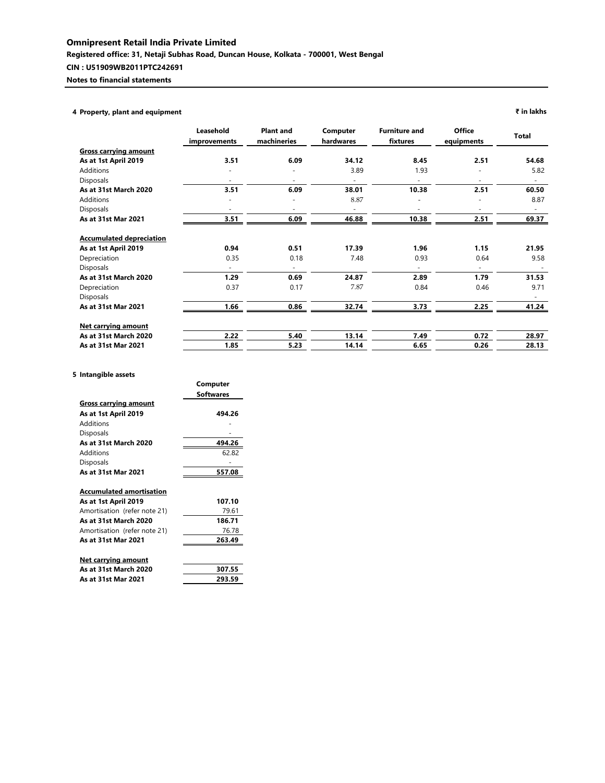# **Notes to financial statements**

# **4 Property, plant and equipment ₹ in lakhs**

|                                 | Leasehold<br>improvements | <b>Plant and</b><br>machineries | Computer<br>hardwares    | <b>Furniture and</b><br>fixtures | <b>Office</b><br>equipments | <b>Total</b> |
|---------------------------------|---------------------------|---------------------------------|--------------------------|----------------------------------|-----------------------------|--------------|
| <b>Gross carrying amount</b>    |                           |                                 |                          |                                  |                             |              |
| As at 1st April 2019            | 3.51                      | 6.09                            | 34.12                    | 8.45                             | 2.51                        | 54.68        |
| Additions                       |                           |                                 | 3.89                     | 1.93                             |                             | 5.82         |
| <b>Disposals</b>                | $\overline{\phantom{a}}$  | $\overline{\phantom{a}}$        | $\overline{\phantom{a}}$ | $\equiv$                         |                             |              |
| As at 31st March 2020           | 3.51                      | 6.09                            | 38.01                    | 10.38                            | 2.51                        | 60.50        |
| <b>Additions</b>                |                           | ٠                               | 8.87                     |                                  |                             | 8.87         |
| <b>Disposals</b>                |                           |                                 |                          | $\overline{\phantom{a}}$         |                             |              |
| As at 31st Mar 2021             | 3.51                      | 6.09                            | 46.88                    | 10.38                            | 2.51                        | 69.37        |
| <b>Accumulated depreciation</b> |                           |                                 |                          |                                  |                             |              |
| As at 1st April 2019            | 0.94                      | 0.51                            | 17.39                    | 1.96                             | 1.15                        | 21.95        |
| Depreciation                    | 0.35                      | 0.18                            | 7.48                     | 0.93                             | 0.64                        | 9.58         |
| <b>Disposals</b>                | $\blacksquare$            | $\sim$                          |                          | $\equiv$                         | $\blacksquare$              |              |
| As at 31st March 2020           | 1.29                      | 0.69                            | 24.87                    | 2.89                             | 1.79                        | 31.53        |
| Depreciation                    | 0.37                      | 0.17                            | 7.87                     | 0.84                             | 0.46                        | 9.71         |
| <b>Disposals</b>                |                           |                                 |                          |                                  |                             |              |
| As at 31st Mar 2021             | 1.66                      | 0.86                            | 32.74                    | 3.73                             | 2.25                        | 41.24        |
| <b>Net carrying amount</b>      |                           |                                 |                          |                                  |                             |              |
| As at 31st March 2020           | 2.22                      | 5.40                            | 13.14                    | 7.49                             | 0.72                        | 28.97        |
| As at 31st Mar 2021             | 1.85                      | 5.23                            | 14.14                    | 6.65                             | 0.26                        | 28.13        |

# **5 Intangible assets**

|                              | <b>Softwares</b> |
|------------------------------|------------------|
| Gross carrying amount        |                  |
| As at 1st April 2019         | 494.26           |
| Additions                    |                  |
| <b>Disposals</b>             |                  |
| As at 31st March 2020        | 494.26           |
| Additions                    | 62.82            |
| Disposals                    |                  |
| As at 31st Mar 2021          | 557.08           |
|                              |                  |
| Accumulated amortisation     |                  |
| As at 1st April 2019         | 107.10           |
| Amortisation (refer note 21) | 79.61            |
| As at 31st March 2020        | 186.71           |
| Amortisation (refer note 21) | 76.78            |
| As at 31st Mar 2021          | 263.49           |
|                              |                  |
| Net carrying amount          |                  |
| As at 31st March 2020        | 307.55           |
| As at 31st Mar 2021          | 293.59           |

**Computer**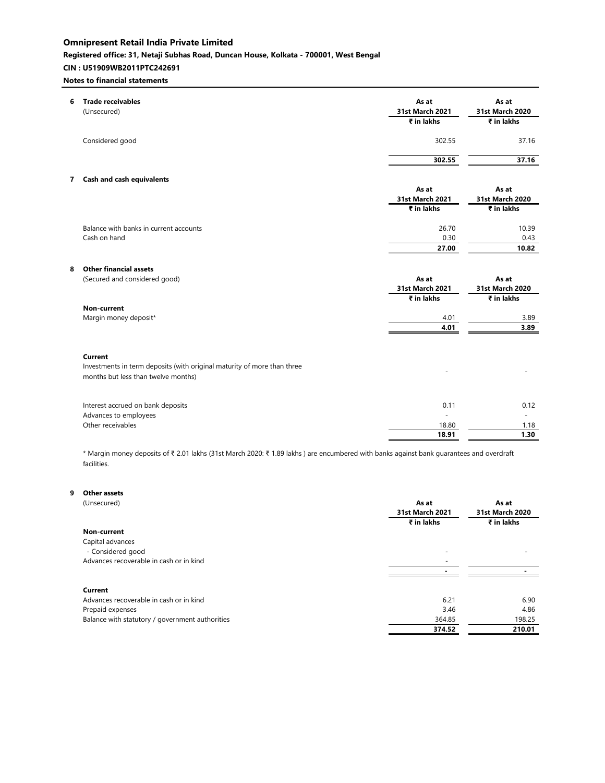# **Registered office: 31, Netaji Subhas Road, Duncan House, Kolkata - 700001, West Bengal**

# **CIN : U51909WB2011PTC242691**

# **Notes to financial statements**

| 6            | <b>Trade receivables</b><br>(Unsecured)                                            | As at<br>31st March 2021<br>₹ in lakhs | As at<br>31st March 2020<br>₹ in lakhs |
|--------------|------------------------------------------------------------------------------------|----------------------------------------|----------------------------------------|
|              | Considered good                                                                    | 302.55                                 | 37.16                                  |
|              |                                                                                    | 302.55                                 | 37.16                                  |
| $\mathbf{7}$ | Cash and cash equivalents                                                          |                                        |                                        |
|              |                                                                                    | As at<br><b>31st March 2021</b>        | As at<br>31st March 2020               |
|              |                                                                                    | ₹ in lakhs                             | ₹ in lakhs                             |
|              | Balance with banks in current accounts<br>Cash on hand                             | 26.70<br>0.30                          | 10.39<br>0.43                          |
|              |                                                                                    | 27.00                                  | 10.82                                  |
| 8            | <b>Other financial assets</b><br>(Secured and considered good)                     | As at<br>31st March 2021               | As at                                  |
|              |                                                                                    | ₹ in lakhs                             | 31st March 2020<br>₹ in lakhs          |
|              | Non-current                                                                        |                                        |                                        |
|              | Margin money deposit*                                                              | 4.01<br>4.01                           | 3.89<br>3.89                           |
|              | Current<br>Investments in term deposits (with original maturity of more than three |                                        |                                        |
|              | months but less than twelve months)                                                |                                        |                                        |
|              | Interest accrued on bank deposits                                                  | 0.11<br>$\mathcal{L}$                  | 0.12                                   |
|              | Advances to employees<br>Other receivables                                         | 18.80                                  | $\omega$<br>1.18                       |
|              |                                                                                    | 18.91                                  | 1.30                                   |

\* Margin money deposits of ₹ 2.01 lakhs (31st March 2020: ₹ 1.89 lakhs ) are encumbered with banks against bank guarantees and overdraft facilities.

## **9 Other assets**

| (Unsecured)                                     | As at                  | As at                  |  |
|-------------------------------------------------|------------------------|------------------------|--|
|                                                 | <b>31st March 2021</b> | <b>31st March 2020</b> |  |
|                                                 | ₹ in lakhs             | ₹ in lakhs             |  |
| Non-current                                     |                        |                        |  |
| Capital advances                                |                        |                        |  |
| - Considered good                               |                        |                        |  |
| Advances recoverable in cash or in kind         |                        |                        |  |
|                                                 |                        |                        |  |
| Current                                         |                        |                        |  |
| Advances recoverable in cash or in kind         | 6.21                   | 6.90                   |  |
| Prepaid expenses                                | 3.46                   | 4.86                   |  |
| Balance with statutory / government authorities | 364.85                 | 198.25                 |  |
|                                                 | 374.52                 | 210.01                 |  |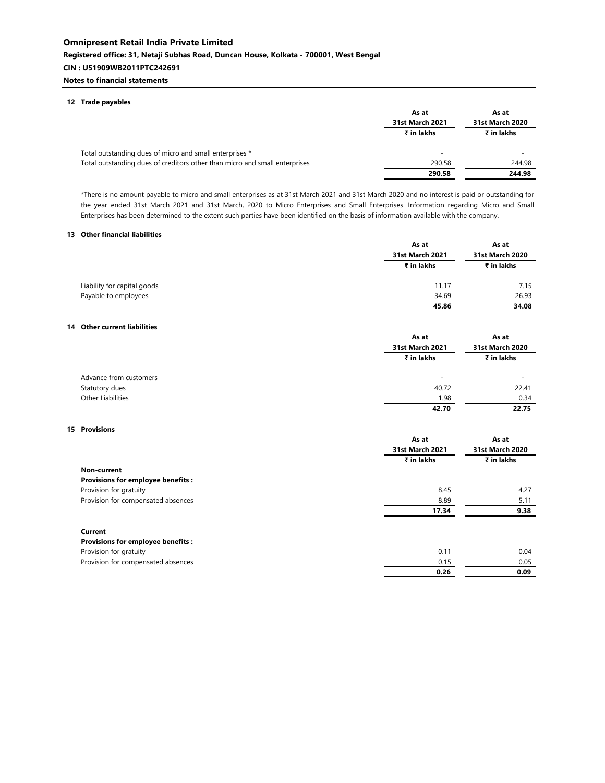### **Registered office: 31, Netaji Subhas Road, Duncan House, Kolkata - 700001, West Bengal**

# **CIN : U51909WB2011PTC242691**

# **Notes to financial statements**

#### **12 Trade payables**

|                                                                            | As at<br><b>31st March 2021</b> | As at<br><b>31st March 2020</b> |
|----------------------------------------------------------------------------|---------------------------------|---------------------------------|
|                                                                            | ₹ in lakhs                      | ₹ in lakhs                      |
| Total outstanding dues of micro and small enterprises *                    | $\overline{\phantom{0}}$        | $\overline{\phantom{a}}$        |
| Total outstanding dues of creditors other than micro and small enterprises | 290.58                          | 244.98                          |
|                                                                            | 290.58                          | 244.98                          |

\*There is no amount payable to micro and small enterprises as at 31st March 2021 and 31st March 2020 and no interest is paid or outstanding for the year ended 31st March 2021 and 31st March, 2020 to Micro Enterprises and Small Enterprises. Information regarding Micro and Small Enterprises has been determined to the extent such parties have been identified on the basis of information available with the company.

### **13 Other financial liabilities**

|                             | As at                  | As at           |
|-----------------------------|------------------------|-----------------|
|                             | <b>31st March 2021</b> | 31st March 2020 |
|                             | ₹ in lakhs             | ₹ in lakhs      |
| Liability for capital goods | 11.17                  | 7.15            |
| Payable to employees        | 34.69                  | 26.93           |
|                             | 45.86                  | 34.08           |

## **14 Other current liabilities**

|                        | As at                    | As at           |  |
|------------------------|--------------------------|-----------------|--|
|                        | <b>31st March 2021</b>   | 31st March 2020 |  |
|                        | ₹ in lakhs               | ₹ in lakhs      |  |
| Advance from customers | $\overline{\phantom{a}}$ | $\sim$          |  |
| Statutory dues         | 40.72                    | 22.41           |  |
| Other Liabilities      | 1.98                     | 0.34            |  |
|                        | 42.70                    | 22.75           |  |

### **15 Provisions**

|                                          | As at<br><b>31st March 2021</b><br>₹ in lakhs | As at<br>31st March 2020<br>₹ in lakhs |
|------------------------------------------|-----------------------------------------------|----------------------------------------|
| Non-current                              |                                               |                                        |
| <b>Provisions for employee benefits:</b> |                                               |                                        |
| Provision for gratuity                   | 8.45                                          | 4.27                                   |
| Provision for compensated absences       | 8.89                                          | 5.11                                   |
|                                          | 17.34                                         | 9.38                                   |
| Current                                  |                                               |                                        |
| <b>Provisions for employee benefits:</b> |                                               |                                        |
| Provision for gratuity                   | 0.11                                          | 0.04                                   |
| Provision for compensated absences       | 0.15                                          | 0.05                                   |
|                                          | 0.26                                          | 0.09                                   |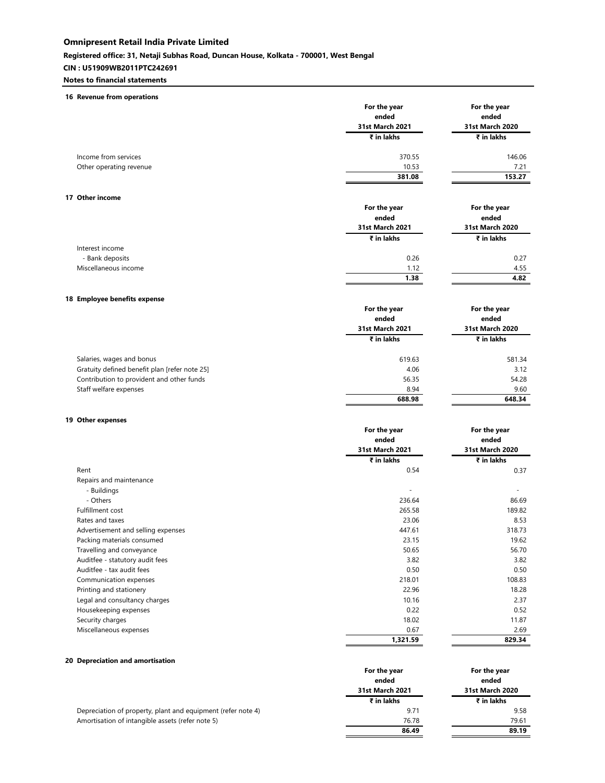# **Registered office: 31, Netaji Subhas Road, Duncan House, Kolkata - 700001, West Bengal**

# **CIN : U51909WB2011PTC242691**

### **Notes to financial statements**

| 16 Revenue from operations                    |                 |                        |
|-----------------------------------------------|-----------------|------------------------|
|                                               | For the year    | For the year           |
|                                               | ended           | ended                  |
|                                               | 31st March 2021 | <b>31st March 2020</b> |
|                                               | ₹ in lakhs      | ₹ in lakhs             |
| Income from services                          | 370.55          | 146.06                 |
| Other operating revenue                       | 10.53           | 7.21                   |
|                                               | 381.08          | 153.27                 |
|                                               |                 |                        |
| 17 Other income                               | For the year    | For the year           |
|                                               | ended           | ended                  |
|                                               | 31st March 2021 | 31st March 2020        |
|                                               | ₹ in lakhs      | ₹ in lakhs             |
| Interest income                               |                 |                        |
| - Bank deposits                               | 0.26            | 0.27                   |
| Miscellaneous income                          | 1.12            | 4.55                   |
|                                               | 1.38            | 4.82                   |
| 18 Employee benefits expense                  |                 |                        |
|                                               | For the year    | For the year           |
|                                               | ended           | ended                  |
|                                               | 31st March 2021 | 31st March 2020        |
|                                               | ₹ in lakhs      | ₹ in lakhs             |
|                                               |                 |                        |
| Salaries, wages and bonus                     | 619.63          | 581.34                 |
| Gratuity defined benefit plan [refer note 25] | 4.06            | 3.12                   |
| Contribution to provident and other funds     | 56.35           | 54.28                  |
| Staff welfare expenses                        | 8.94<br>688.98  | 9.60<br>648.34         |
|                                               |                 |                        |
| 19 Other expenses                             |                 |                        |
|                                               | For the year    | For the year           |
|                                               | ended           | ended                  |
|                                               | 31st March 2021 | 31st March 2020        |
|                                               | ₹ in lakhs      | ₹ in lakhs             |
| Rent                                          | 0.54            | 0.37                   |
| Repairs and maintenance<br>- Buildings        |                 |                        |
| - Others                                      | 236.64          | 86.69                  |
| Fulfillment cost                              | 265.58          | 189.82                 |
| Rates and taxes                               | 23.06           | 8.53                   |
| Advertisement and selling expenses            | 447.61          | 318.73                 |
| Packing materials consumed                    | 23.15           | 19.62                  |
| Travelling and conveyance                     | 50.65           | 56.70                  |
| Auditfee - statutory audit fees               | 3.82            | 3.82                   |
| Auditfee - tax audit fees                     | 0.50            | 0.50                   |
| Communication expenses                        | 218.01          | 108.83                 |
| Printing and stationery                       | 22.96           | 18.28                  |
| Legal and consultancy charges                 | 10.16           | 2.37                   |
| Housekeeping expenses                         | 0.22            | 0.52                   |
| Security charges                              | 18.02           | 11.87                  |

#### **20 Depreciation and amortisation**

Security charges

|                                                              | For the year           | For the year    |
|--------------------------------------------------------------|------------------------|-----------------|
|                                                              | ended                  | ended           |
|                                                              | <b>31st March 2021</b> | 31st March 2020 |
|                                                              | ₹ in lakhs             | ₹ in lakhs      |
| Depreciation of property, plant and equipment (refer note 4) | 9.71                   | 9.58            |
| Amortisation of intangible assets (refer note 5)             | 76.78                  | 79.61           |
|                                                              | 86.49                  | 89.19           |

Miscellaneous expenses 0.67 2.69

 **1,321.59 829.34**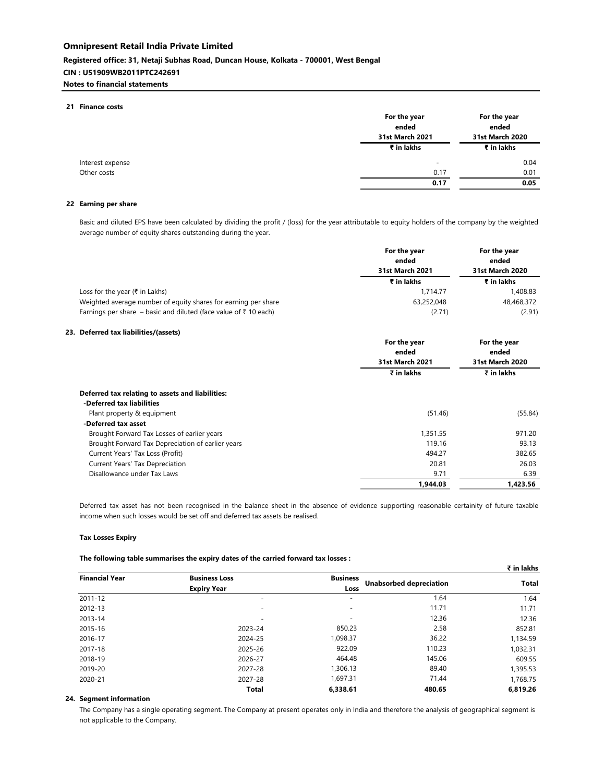### **Registered office: 31, Netaji Subhas Road, Duncan House, Kolkata - 700001, West Bengal**

#### **CIN : U51909WB2011PTC242691**

#### **Notes to financial statements**

#### **21 Finance costs**

|                  | For the year<br>ended<br>31st March 2021 | For the year<br>ended<br>31st March 2020 |
|------------------|------------------------------------------|------------------------------------------|
|                  | ₹ in lakhs                               | ₹ in lakhs                               |
| Interest expense | $\overline{\phantom{a}}$                 | 0.04                                     |
| Other costs      | 0.17                                     | 0.01                                     |
|                  | 0.17                                     | 0.05                                     |
|                  |                                          |                                          |

### **22 Earning per share**

Basic and diluted EPS have been calculated by dividing the profit / (loss) for the year attributable to equity holders of the company by the weighted average number of equity shares outstanding during the year.

|                                                                  | For the year                         | For the year<br>ended<br><b>31st March 2020</b> |  |
|------------------------------------------------------------------|--------------------------------------|-------------------------------------------------|--|
|                                                                  | ended                                |                                                 |  |
|                                                                  | <b>31st March 2021</b><br>₹ in lakhs |                                                 |  |
|                                                                  |                                      | ₹ in lakhs                                      |  |
| Loss for the year $(\bar{\tau}$ in Lakhs)                        | 1.714.77                             | 1.408.83                                        |  |
| Weighted average number of equity shares for earning per share   | 63,252,048                           | 48,468,372                                      |  |
| Earnings per share – basic and diluted (face value of ₹ 10 each) | (2.71)                               | (2.91)                                          |  |

### **23. Deferred tax liabilities/(assets)**

|                                                   | For the year<br>ended  | For the year<br>ended  |  |
|---------------------------------------------------|------------------------|------------------------|--|
|                                                   | <b>31st March 2021</b> | <b>31st March 2020</b> |  |
|                                                   | ₹ in lakhs             | ₹ in lakhs             |  |
| Deferred tax relating to assets and liabilities:  |                        |                        |  |
| -Deferred tax liabilities                         |                        |                        |  |
| Plant property & equipment                        | (51.46)                | (55.84)                |  |
| -Deferred tax asset                               |                        |                        |  |
| Brought Forward Tax Losses of earlier years       | 1,351.55               | 971.20                 |  |
| Brought Forward Tax Depreciation of earlier years | 119.16                 | 93.13                  |  |
| Current Years' Tax Loss (Profit)                  | 494.27                 | 382.65                 |  |
| Current Years' Tax Depreciation                   | 20.81                  | 26.03                  |  |
| Disallowance under Tax Laws                       | 9.71                   | 6.39                   |  |
|                                                   | 1.944.03               | 1.423.56               |  |

Deferred tax asset has not been recognised in the balance sheet in the absence of evidence supporting reasonable certainity of future taxable income when such losses would be set off and deferred tax assets be realised.

#### **Tax Losses Expiry**

#### **The following table summarises the expiry dates of the carried forward tax losses :**

|                       |                          |                          |                                | ₹ in lakhs   |  |
|-----------------------|--------------------------|--------------------------|--------------------------------|--------------|--|
| <b>Financial Year</b> | <b>Business Loss</b>     | <b>Business</b>          | <b>Unabsorbed depreciation</b> | <b>Total</b> |  |
|                       | <b>Expiry Year</b>       | Loss                     |                                |              |  |
| 2011-12               | $\overline{\phantom{0}}$ | $\overline{\phantom{a}}$ | 1.64                           | 1.64         |  |
| 2012-13               | $\overline{\phantom{0}}$ | $\overline{\phantom{a}}$ | 11.71                          | 11.71        |  |
| 2013-14               |                          | $\overline{\phantom{0}}$ | 12.36                          | 12.36        |  |
| 2015-16               | 2023-24                  | 850.23                   | 2.58                           | 852.81       |  |
| 2016-17               | 2024-25                  | 1,098.37                 | 36.22                          | 1,134.59     |  |
| 2017-18               | 2025-26                  | 922.09                   | 110.23                         | 1,032.31     |  |
| 2018-19               | 2026-27                  | 464.48                   | 145.06                         | 609.55       |  |
| 2019-20               | 2027-28                  | 1,306.13                 | 89.40                          | 1,395.53     |  |
| 2020-21               | 2027-28                  | 1,697.31                 | 71.44                          | 1,768.75     |  |
|                       | <b>Total</b>             | 6.338.61                 | 480.65                         | 6.819.26     |  |

### **24. Segment information**

The Company has a single operating segment. The Company at present operates only in India and therefore the analysis of geographical segment is not applicable to the Company.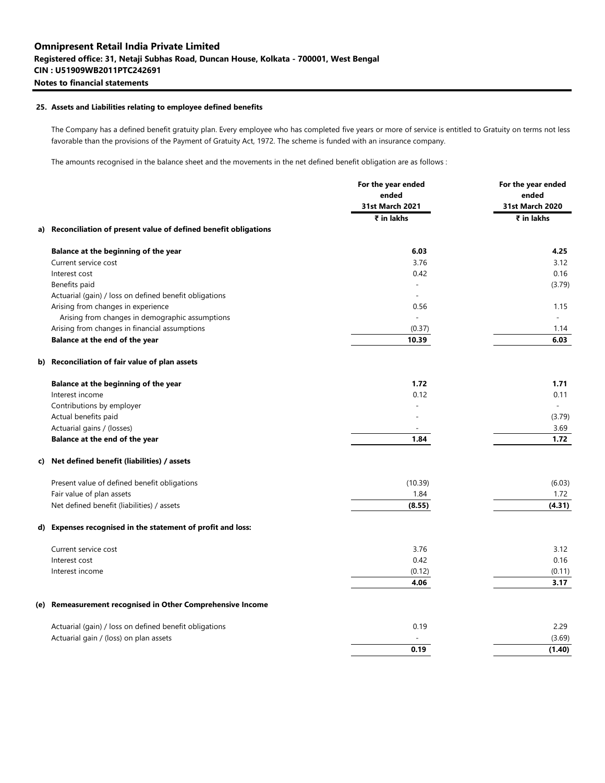#### **25. Assets and Liabilities relating to employee defined benefits**

The Company has a defined benefit gratuity plan. Every employee who has completed five years or more of service is entitled to Gratuity on terms not less favorable than the provisions of the Payment of Gratuity Act, 1972. The scheme is funded with an insurance company.

The amounts recognised in the balance sheet and the movements in the net defined benefit obligation are as follows :

|                                                                   | For the year ended<br>ended<br>31st March 2021 | For the year ended<br>ended<br><b>31st March 2020</b> |
|-------------------------------------------------------------------|------------------------------------------------|-------------------------------------------------------|
|                                                                   | ₹ in lakhs                                     | ₹ in lakhs                                            |
| a) Reconciliation of present value of defined benefit obligations |                                                |                                                       |
| Balance at the beginning of the year                              | 6.03                                           | 4.25                                                  |
| Current service cost                                              | 3.76                                           | 3.12                                                  |
| Interest cost                                                     | 0.42                                           | 0.16                                                  |
| Benefits paid                                                     | $\overline{\phantom{a}}$                       | (3.79)                                                |
| Actuarial (gain) / loss on defined benefit obligations            | $\overline{\phantom{a}}$                       |                                                       |
| Arising from changes in experience                                | 0.56                                           | 1.15                                                  |
| Arising from changes in demographic assumptions                   | $\overline{a}$                                 |                                                       |
| Arising from changes in financial assumptions                     | (0.37)                                         | 1.14                                                  |
| Balance at the end of the year                                    | 10.39                                          | 6.03                                                  |
| b) Reconciliation of fair value of plan assets                    |                                                |                                                       |
| Balance at the beginning of the year                              | 1.72                                           | 1.71                                                  |
| Interest income                                                   | 0.12                                           | 0.11                                                  |
| Contributions by employer                                         |                                                |                                                       |
| Actual benefits paid                                              |                                                | (3.79)                                                |
| Actuarial gains / (losses)                                        |                                                | 3.69                                                  |
| Balance at the end of the year                                    | 1.84                                           | 1.72                                                  |
| c) Net defined benefit (liabilities) / assets                     |                                                |                                                       |
| Present value of defined benefit obligations                      | (10.39)                                        | (6.03)                                                |
| Fair value of plan assets                                         | 1.84                                           | 1.72                                                  |
| Net defined benefit (liabilities) / assets                        | (8.55)                                         | (4.31)                                                |
| d) Expenses recognised in the statement of profit and loss:       |                                                |                                                       |
| Current service cost                                              | 3.76                                           | 3.12                                                  |
| Interest cost                                                     | 0.42                                           | 0.16                                                  |
| Interest income                                                   | (0.12)                                         | (0.11)                                                |
|                                                                   | 4.06                                           | 3.17                                                  |
| (e) Remeasurement recognised in Other Comprehensive Income        |                                                |                                                       |
| Actuarial (gain) / loss on defined benefit obligations            | 0.19                                           | 2.29                                                  |
| Actuarial gain / (loss) on plan assets                            |                                                | (3.69)                                                |
|                                                                   | 0.19                                           | (1.40)                                                |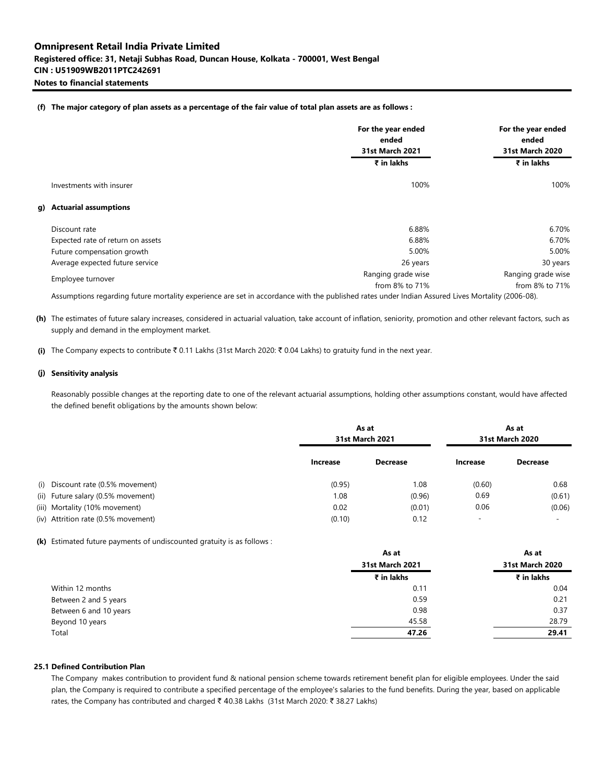#### **(f) The major category of plan assets as a percentage of the fair value of total plan assets are as follows :**

|                                                                                                                                                                 | For the year ended<br>ended<br><b>31st March 2021</b> | For the year ended<br>ended<br><b>31st March 2020</b> |  |
|-----------------------------------------------------------------------------------------------------------------------------------------------------------------|-------------------------------------------------------|-------------------------------------------------------|--|
|                                                                                                                                                                 | ₹ in lakhs                                            | ₹ in lakhs                                            |  |
| Investments with insurer                                                                                                                                        | 100%                                                  | 100%                                                  |  |
| g) Actuarial assumptions                                                                                                                                        |                                                       |                                                       |  |
| Discount rate                                                                                                                                                   | 6.88%                                                 | 6.70%                                                 |  |
| Expected rate of return on assets                                                                                                                               | 6.88%                                                 | 6.70%                                                 |  |
| Future compensation growth                                                                                                                                      | 5.00%                                                 | 5.00%                                                 |  |
| Average expected future service                                                                                                                                 | 26 years                                              | 30 years                                              |  |
| Employee turnover                                                                                                                                               | Ranging grade wise                                    | Ranging grade wise                                    |  |
|                                                                                                                                                                 | from 8% to 71%                                        | from 8% to 71%                                        |  |
| Against the annual product the constitution of the constitution of the problems of the constitution of the constitution of the Against the Against the COOC OON |                                                       |                                                       |  |

Assumptions regarding future mortality experience are set in accordance with the published rates under Indian Assured Lives Mortality (2006-08).

**(h)** The estimates of future salary increases, considered in actuarial valuation, take account of inflation, seniority, promotion and other relevant factors, such as supply and demand in the employment market.

**(i)** The Company expects to contribute ₹ 0.11 Lakhs (31st March 2020: ₹ 0.04 Lakhs) to gratuity fund in the next year.

#### **(j) Sensitivity analysis**

Reasonably possible changes at the reporting date to one of the relevant actuarial assumptions, holding other assumptions constant, would have affected the defined benefit obligations by the amounts shown below:

|                                     |          | As at<br><b>31st March 2021</b> |          | As at<br><b>31st March 2020</b> |  |
|-------------------------------------|----------|---------------------------------|----------|---------------------------------|--|
|                                     | Increase | <b>Decrease</b>                 | Increase | <b>Decrease</b>                 |  |
| (i) Discount rate (0.5% movement)   | (0.95)   | 1.08                            | (0.60)   | 0.68                            |  |
| (ii) Future salary (0.5% movement)  | 1.08     | (0.96)                          | 0.69     | (0.61)                          |  |
| (iii) Mortality (10% movement)      | 0.02     | (0.01)                          | 0.06     | (0.06)                          |  |
| (iv) Attrition rate (0.5% movement) | (0.10)   | 0.12                            | -        | $\overline{\phantom{0}}$        |  |

**(k)** Estimated future payments of undiscounted gratuity is as follows :

| As at           | As at                  |
|-----------------|------------------------|
| 31st March 2021 | <b>31st March 2020</b> |
| ₹ in lakhs      | ₹ in lakhs             |
| 0.11            | 0.04                   |
| 0.59            | 0.21                   |
| 0.98            | 0.37                   |
| 45.58           | 28.79                  |
| 47.26           | 29.41                  |
|                 |                        |

#### **25.1 Defined Contribution Plan**

The Company makes contribution to provident fund & national pension scheme towards retirement benefit plan for eligible employees. Under the said plan, the Company is required to contribute a specified percentage of the employee's salaries to the fund benefits. During the year, based on applicable rates, the Company has contributed and charged ₹ 40.38 Lakhs (31st March 2020: ₹ 38.27 Lakhs)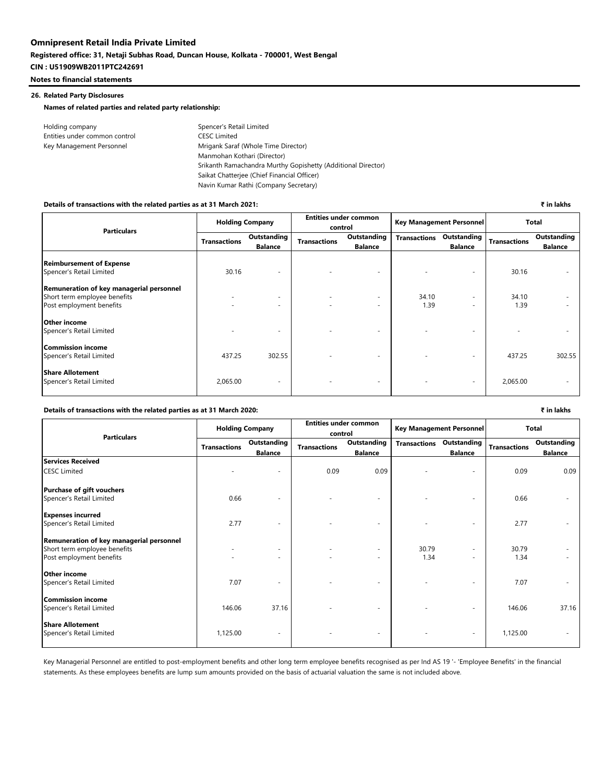**Registered office: 31, Netaji Subhas Road, Duncan House, Kolkata - 700001, West Bengal**

**CIN : U51909WB2011PTC242691**

### **Notes to financial statements**

### **26. Related Party Disclosures**

**Names of related parties and related party relationship:**

| Holding company               | Spencer's Retail Limited                                     |
|-------------------------------|--------------------------------------------------------------|
| Entities under common control | <b>CESC Limited</b>                                          |
| Key Management Personnel      | Mrigank Saraf (Whole Time Director)                          |
|                               | Manmohan Kothari (Director)                                  |
|                               | Srikanth Ramachandra Murthy Gopishetty (Additional Director) |
|                               | Saikat Chatteriee (Chief Financial Officer)                  |
|                               | Navin Kumar Rathi (Company Secretary)                        |

#### **Details of transactions with the related parties as at 31 March 2021: ₹ in lakhs**

| <b>Particulars</b>                                                                                   |                          | <b>Holding Company</b>             | <b>Entities under common</b><br><b>Key Management Personnel</b><br>control |                | <b>Total</b>             |                          |                     |                |
|------------------------------------------------------------------------------------------------------|--------------------------|------------------------------------|----------------------------------------------------------------------------|----------------|--------------------------|--------------------------|---------------------|----------------|
|                                                                                                      | <b>Transactions</b>      | Outstanding                        | <b>Transactions</b>                                                        | Outstanding    | <b>Transactions</b>      | Outstanding              | <b>Transactions</b> | Outstanding    |
|                                                                                                      |                          | <b>Balance</b>                     |                                                                            | <b>Balance</b> |                          | <b>Balance</b>           |                     | <b>Balance</b> |
| <b>Reimbursement of Expense</b><br>Spencer's Retail Limited                                          | 30.16                    | $\overline{\phantom{a}}$           |                                                                            |                |                          | $\overline{\phantom{a}}$ | 30.16               |                |
| Remuneration of key managerial personnel<br>Short term employee benefits<br>Post employment benefits | $\overline{\phantom{a}}$ | $\sim$<br>$\overline{\phantom{a}}$ |                                                                            |                | 34.10<br>1.39            | ۰<br>-                   | 34.10<br>1.39       |                |
| <b>Other income</b><br>Spencer's Retail Limited                                                      |                          | ۰                                  |                                                                            |                |                          | $\overline{\phantom{a}}$ |                     |                |
| Commission income<br>Spencer's Retail Limited                                                        | 437.25                   | 302.55                             |                                                                            |                |                          | $\overline{\phantom{a}}$ | 437.25              | 302.55         |
| <b>Share Allotement</b><br>Spencer's Retail Limited                                                  | 2,065.00                 | $\overline{\phantom{a}}$           |                                                                            |                | $\overline{\phantom{a}}$ | ۰                        | 2,065.00            |                |

### **Details of transactions with the related parties as at 31 March 2020: ₹ in lakhs**

|                     |                               |                                           | <b>Entities under common</b><br><b>Key Management Personnel</b><br>control |                     | <b>Total</b>                  |                          |                               |
|---------------------|-------------------------------|-------------------------------------------|----------------------------------------------------------------------------|---------------------|-------------------------------|--------------------------|-------------------------------|
| <b>Transactions</b> | Outstanding<br><b>Balance</b> | <b>Transactions</b>                       | Outstanding<br><b>Balance</b>                                              | <b>Transactions</b> | Outstanding<br><b>Balance</b> | <b>Transactions</b>      | Outstanding<br><b>Balance</b> |
|                     |                               |                                           |                                                                            |                     |                               |                          |                               |
|                     |                               | 0.09                                      | 0.09                                                                       |                     | ٠                             | 0.09                     | 0.09                          |
|                     |                               |                                           |                                                                            |                     |                               |                          |                               |
| 0.66                |                               |                                           | ۰                                                                          |                     |                               | 0.66                     |                               |
|                     |                               |                                           |                                                                            |                     |                               |                          |                               |
| 2.77                | $\sim$                        |                                           | ٠                                                                          |                     | $\sim$                        | 2.77                     |                               |
|                     |                               |                                           |                                                                            |                     |                               |                          |                               |
|                     | $\sim$                        |                                           | ۰                                                                          |                     | $\overline{\phantom{a}}$      |                          |                               |
|                     |                               |                                           |                                                                            |                     |                               |                          |                               |
|                     |                               |                                           |                                                                            |                     |                               |                          |                               |
| 7.07                |                               |                                           | ÷.                                                                         |                     | ٠                             | 7.07                     |                               |
|                     |                               |                                           |                                                                            |                     |                               |                          |                               |
|                     |                               |                                           | ۰                                                                          |                     | $\sim$                        |                          | 37.16                         |
|                     |                               |                                           |                                                                            |                     |                               |                          |                               |
| 1,125.00            | $\overline{\phantom{a}}$      |                                           | ۰                                                                          |                     | $\overline{\phantom{a}}$      | 1,125.00                 |                               |
|                     | 146.06                        | <b>Holding Company</b><br>$\sim$<br>37.16 |                                                                            | ۰                   | 30.79<br>1.34                 | $\overline{\phantom{a}}$ | 30.79<br>1.34<br>146.06       |

Key Managerial Personnel are entitled to post-employment benefits and other long term employee benefits recognised as per Ind AS 19 '- 'Employee Benefits' in the financial statements. As these employees benefits are lump sum amounts provided on the basis of actuarial valuation the same is not included above.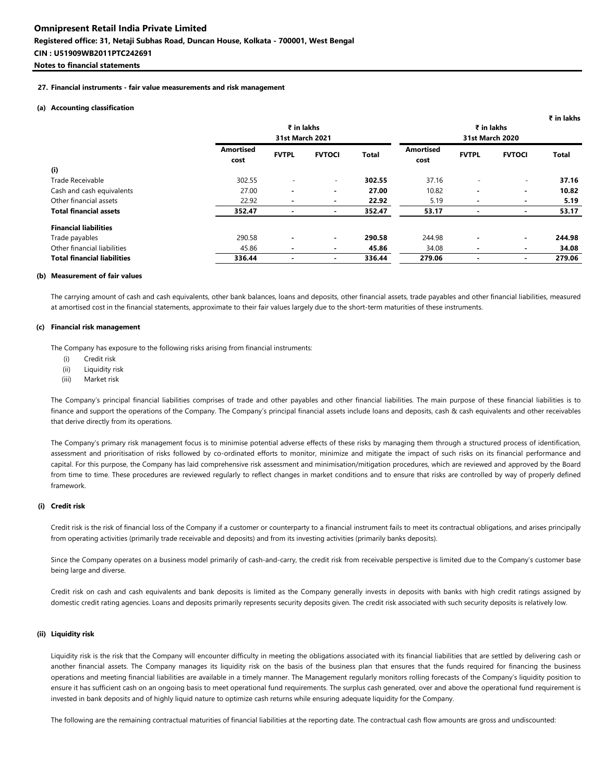**27. Financial instruments - fair value measurements and risk management**

#### **(a) Accounting classification**

|                                    |                          |                          |                |              |                          |                          |                          | ₹ in lakhs   |
|------------------------------------|--------------------------|--------------------------|----------------|--------------|--------------------------|--------------------------|--------------------------|--------------|
|                                    |                          | ₹ in lakhs               |                |              |                          |                          | ₹ in lakhs               |              |
|                                    |                          | <b>31st March 2021</b>   |                |              |                          |                          | 31st March 2020          |              |
|                                    | <b>Amortised</b><br>cost | <b>FVTPL</b>             | <b>FVTOCI</b>  | <b>Total</b> | <b>Amortised</b><br>cost | <b>FVTPL</b>             | <b>FVTOCI</b>            | <b>Total</b> |
| (i)                                |                          |                          |                |              |                          |                          |                          |              |
| Trade Receivable                   | 302.55                   | $\overline{\phantom{0}}$ | $\sim$         | 302.55       | 37.16                    |                          | $\overline{\phantom{0}}$ | 37.16        |
| Cash and cash equivalents          | 27.00                    | $\blacksquare$           | ۰.             | 27.00        | 10.82                    | $\overline{\phantom{0}}$ | $\sim$                   | 10.82        |
| Other financial assets             | 22.92                    | $\blacksquare$           | $\blacksquare$ | 22.92        | 5.19                     | $\blacksquare$           | $\blacksquare$           | 5.19         |
| <b>Total financial assets</b>      | 352.47                   | $\blacksquare$           | $\blacksquare$ | 352.47       | 53.17                    | $\blacksquare$           |                          | 53.17        |
| <b>Financial liabilities</b>       |                          |                          |                |              |                          |                          |                          |              |
| Trade payables                     | 290.58                   | $\blacksquare$           | ۰.             | 290.58       | 244.98                   | $\overline{\phantom{0}}$ |                          | 244.98       |
| Other financial liabilities        | 45.86                    | $\blacksquare$           | $\blacksquare$ | 45.86        | 34.08                    | $\blacksquare$           | $\overline{\phantom{a}}$ | 34.08        |
| <b>Total financial liabilities</b> | 336.44                   | $\blacksquare$           | $\blacksquare$ | 336.44       | 279.06                   | $\blacksquare$           | $\overline{\phantom{a}}$ | 279.06       |

#### **(b) Measurement of fair values**

The carrying amount of cash and cash equivalents, other bank balances, loans and deposits, other financial assets, trade payables and other financial liabilities, measured at amortised cost in the financial statements, approximate to their fair values largely due to the short-term maturities of these instruments.

#### **(c) Financial risk management**

The Company has exposure to the following risks arising from financial instruments:

- (i) Credit risk
- (ii) Liquidity risk
- (iii) Market risk

The Company's principal financial liabilities comprises of trade and other payables and other financial liabilities. The main purpose of these financial liabilities is to finance and support the operations of the Company. The Company's principal financial assets include loans and deposits, cash & cash equivalents and other receivables that derive directly from its operations.

The Company's primary risk management focus is to minimise potential adverse effects of these risks by managing them through a structured process of identification, assessment and prioritisation of risks followed by co-ordinated efforts to monitor, minimize and mitigate the impact of such risks on its financial performance and capital. For this purpose, the Company has laid comprehensive risk assessment and minimisation/mitigation procedures, which are reviewed and approved by the Board from time to time. These procedures are reviewed regularly to reflect changes in market conditions and to ensure that risks are controlled by way of properly defined framework.

#### **(i) Credit risk**

Credit risk is the risk of financial loss of the Company if a customer or counterparty to a financial instrument fails to meet its contractual obligations, and arises principally from operating activities (primarily trade receivable and deposits) and from its investing activities (primarily banks deposits).

Since the Company operates on a business model primarily of cash-and-carry, the credit risk from receivable perspective is limited due to the Company's customer base being large and diverse.

Credit risk on cash and cash equivalents and bank deposits is limited as the Company generally invests in deposits with banks with high credit ratings assigned by domestic credit rating agencies. Loans and deposits primarily represents security deposits given. The credit risk associated with such security deposits is relatively low.

#### **(ii) Liquidity risk**

Liquidity risk is the risk that the Company will encounter difficulty in meeting the obligations associated with its financial liabilities that are settled by delivering cash or another financial assets. The Company manages its liquidity risk on the basis of the business plan that ensures that the funds required for financing the business operations and meeting financial liabilities are available in a timely manner. The Management regularly monitors rolling forecasts of the Company's liquidity position to ensure it has sufficient cash on an ongoing basis to meet operational fund requirements. The surplus cash generated, over and above the operational fund requirement is invested in bank deposits and of highly liquid nature to optimize cash returns while ensuring adequate liquidity for the Company.

The following are the remaining contractual maturities of financial liabilities at the reporting date. The contractual cash flow amounts are gross and undiscounted: